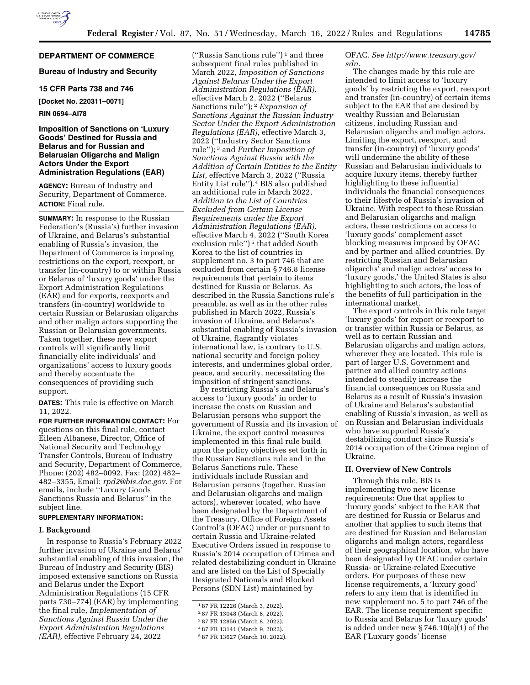# **DEPARTMENT OF COMMERCE**

### **Bureau of Industry and Security**

# **15 CFR Parts 738 and 746**

**[Docket No. 220311–0071]** 

**RIN 0694–AI78** 

### **Imposition of Sanctions on 'Luxury Goods' Destined for Russia and Belarus and for Russian and Belarusian Oligarchs and Malign Actors Under the Export Administration Regulations (EAR)**

**AGENCY:** Bureau of Industry and Security, Department of Commerce. **ACTION:** Final rule.

**SUMMARY:** In response to the Russian Federation's (Russia's) further invasion of Ukraine, and Belarus's substantial enabling of Russia's invasion, the Department of Commerce is imposing restrictions on the export, reexport, or transfer (in-country) to or within Russia or Belarus of 'luxury goods' under the Export Administration Regulations (EAR) and for exports, reexports and transfers (in-country) worldwide to certain Russian or Belarusian oligarchs and other malign actors supporting the Russian or Belarusian governments. Taken together, these new export controls will significantly limit financially elite individuals' and organizations' access to luxury goods and thereby accentuate the consequences of providing such support.

**DATES:** This rule is effective on March 11, 2022.

**FOR FURTHER INFORMATION CONTACT:** For questions on this final rule, contact Eileen Albanese, Director, Office of National Security and Technology Transfer Controls, Bureau of Industry and Security, Department of Commerce, Phone: (202) 482–0092, Fax: (202) 482– 482–3355, Email: *[rpd2@bis.doc.gov.](mailto:rpd2@bis.doc.gov)* For emails, include ''Luxury Goods Sanctions Russia and Belarus'' in the subject line.

# **SUPPLEMENTARY INFORMATION:**

#### **I. Background**

In response to Russia's February 2022 further invasion of Ukraine and Belarus' substantial enabling of this invasion, the Bureau of Industry and Security (BIS) imposed extensive sanctions on Russia and Belarus under the Export Administration Regulations (15 CFR parts 730–774) (EAR) by implementing the final rule, *Implementation of Sanctions Against Russia Under the Export Administration Regulations (EAR),* effective February 24, 2022

("Russia Sanctions rule")<sup>1</sup> and three subsequent final rules published in March 2022, *Imposition of Sanctions Against Belarus Under the Export Administration Regulations (EAR),*  effective March 2, 2022 (''Belarus Sanctions rule''); 2 *Expansion of Sanctions Against the Russian Industry Sector Under the Export Administration Regulations (EAR),* effective March 3, 2022 (''Industry Sector Sanctions rule''); 3 and *Further Imposition of Sanctions Against Russia with the Addition of Certain Entities to the Entity List,* effective March 3, 2022 (''Russia Entity List rule'').4 BIS also published an additional rule in March 2022, *Addition to the List of Countries Excluded from Certain License Requirements under the Export Administration Regulations (EAR),*  effective March 4, 2022 (''South Korea exclusion rule'') 5 that added South Korea to the list of countries in supplement no. 3 to part 746 that are excluded from certain § 746.8 license requirements that pertain to items destined for Russia or Belarus. As described in the Russia Sanctions rule's preamble, as well as in the other rules published in March 2022, Russia's invasion of Ukraine, and Belarus's substantial enabling of Russia's invasion of Ukraine, flagrantly violates international law, is contrary to U.S. national security and foreign policy interests, and undermines global order, peace, and security, necessitating the imposition of stringent sanctions.

By restricting Russia's and Belarus's access to 'luxury goods' in order to increase the costs on Russian and Belarusian persons who support the government of Russia and its invasion of Ukraine, the export control measures implemented in this final rule build upon the policy objectives set forth in the Russian Sanctions rule and in the Belarus Sanctions rule. These individuals include Russian and Belarusian persons (together, Russian and Belarusian oligarchs and malign actors), wherever located, who have been designated by the Department of the Treasury, Office of Foreign Assets Control's (OFAC) under or pursuant to certain Russia and Ukraine-related Executive Orders issued in response to Russia's 2014 occupation of Crimea and related destabilizing conduct in Ukraine and are listed on the List of Specially Designated Nationals and Blocked Persons (SDN List) maintained by

- 2 87 FR 13048 (March 8, 2022).
- 3 87 FR 12856 (March 8, 2022).

OFAC. *See [http://www.treasury.gov/](http://www.treasury.gov/sdn)  [sdn.](http://www.treasury.gov/sdn)* 

The changes made by this rule are intended to limit access to 'luxury goods' by restricting the export, reexport and transfer (in-country) of certain items subject to the EAR that are desired by wealthy Russian and Belarusian citizens, including Russian and Belarusian oligarchs and malign actors. Limiting the export, reexport, and transfer (in-country) of 'luxury goods' will undermine the ability of these Russian and Belarusian individuals to acquire luxury items, thereby further highlighting to these influential individuals the financial consequences to their lifestyle of Russia's invasion of Ukraine. With respect to these Russian and Belarusian oligarchs and malign actors, these restrictions on access to 'luxury goods' complement asset blocking measures imposed by OFAC and by partner and allied countries. By restricting Russian and Belarusian oligarchs' and malign actors' access to 'luxury goods,' the United States is also highlighting to such actors, the loss of the benefits of full participation in the international market.

The export controls in this rule target 'luxury goods' for export or reexport to or transfer within Russia or Belarus, as well as to certain Russian and Belarusian oligarchs and malign actors, wherever they are located. This rule is part of larger U.S. Government and partner and allied country actions intended to steadily increase the financial consequences on Russia and Belarus as a result of Russia's invasion of Ukraine and Belarus's substantial enabling of Russia's invasion, as well as on Russian and Belarusian individuals who have supported Russia's destabilizing conduct since Russia's 2014 occupation of the Crimea region of Ukraine.

#### **II. Overview of New Controls**

Through this rule, BIS is implementing two new license requirements: One that applies to 'luxury goods' subject to the EAR that are destined for Russia or Belarus and another that applies to such items that are destined for Russian and Belarusian oligarchs and malign actors, regardless of their geographical location, who have been designated by OFAC under certain Russia- or Ukraine-related Executive orders. For purposes of these new license requirements, a 'luxury good' refers to any item that is identified in new supplement no. 5 to part 746 of the EAR. The license requirement specific to Russia and Belarus for 'luxury goods' is added under new § 746.10(a)(1) of the EAR ('Luxury goods' license

<sup>1</sup> 87 FR 12226 (March 3, 2022).

<sup>4</sup> 87 FR 13141 (March 9, 2022).

<sup>5</sup> 87 FR 13627 (March 10, 2022).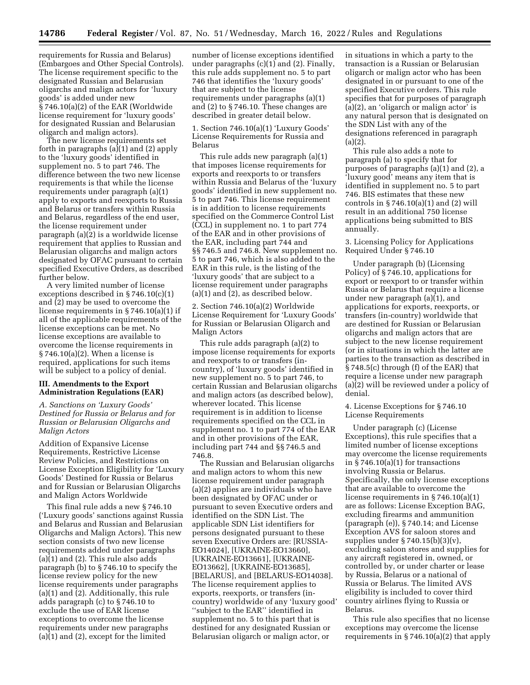requirements for Russia and Belarus) (Embargoes and Other Special Controls). The license requirement specific to the designated Russian and Belarusian oligarchs and malign actors for 'luxury goods' is added under new § 746.10(a)(2) of the EAR (Worldwide license requirement for 'luxury goods' for designated Russian and Belarusian oligarch and malign actors).

The new license requirements set forth in paragraphs (a)(1) and (2) apply to the 'luxury goods' identified in supplement no. 5 to part 746. The difference between the two new license requirements is that while the license requirements under paragraph (a)(1) apply to exports and reexports to Russia and Belarus or transfers within Russia and Belarus, regardless of the end user, the license requirement under paragraph (a)(2) is a worldwide license requirement that applies to Russian and Belarusian oligarchs and malign actors designated by OFAC pursuant to certain specified Executive Orders, as described further below.

A very limited number of license exceptions described in § 746.10(c)(1) and (2) may be used to overcome the license requirements in § 746.10(a)(1) if all of the applicable requirements of the license exceptions can be met. No license exceptions are available to overcome the license requirements in § 746.10(a)(2). When a license is required, applications for such items will be subject to a policy of denial.

### **III. Amendments to the Export Administration Regulations (EAR)**

*A. Sanctions on 'Luxury Goods' Destined for Russia or Belarus and for Russian or Belarusian Oligarchs and Malign Actors* 

Addition of Expansive License Requirements, Restrictive License Review Policies, and Restrictions on License Exception Eligibility for 'Luxury Goods' Destined for Russia or Belarus and for Russian or Belarusian Oligarchs and Malign Actors Worldwide

This final rule adds a new § 746.10 ('Luxury goods' sanctions against Russia and Belarus and Russian and Belarusian Oligarchs and Malign Actors). This new section consists of two new license requirements added under paragraphs (a)(1) and (2). This rule also adds paragraph (b) to § 746.10 to specify the license review policy for the new license requirements under paragraphs  $(a)(1)$  and  $(2)$ . Additionally, this rule adds paragraph (c) to § 746.10 to exclude the use of EAR license exceptions to overcome the license requirements under new paragraphs (a)(1) and (2), except for the limited

number of license exceptions identified under paragraphs (c)(1) and (2). Finally, this rule adds supplement no. 5 to part 746 that identifies the 'luxury goods' that are subject to the license requirements under paragraphs (a)(1) and (2) to § 746.10. These changes are described in greater detail below.

1. Section 746.10(a)(1) 'Luxury Goods' License Requirements for Russia and Belarus

This rule adds new paragraph (a)(1) that imposes license requirements for exports and reexports to or transfers within Russia and Belarus of the 'luxury goods' identified in new supplement no. 5 to part 746. This license requirement is in addition to license requirements specified on the Commerce Control List (CCL) in supplement no. 1 to part 774 of the EAR and in other provisions of the EAR, including part 744 and §§ 746.5 and 746.8. New supplement no. 5 to part 746, which is also added to the EAR in this rule, is the listing of the 'luxury goods' that are subject to a license requirement under paragraphs (a)(1) and (2), as described below.

2. Section 746.10(a)(2) Worldwide License Requirement for 'Luxury Goods' for Russian or Belarusian Oligarch and Malign Actors

This rule adds paragraph (a)(2) to impose license requirements for exports and reexports to or transfers (incountry), of 'luxury goods' identified in new supplement no. 5 to part 746, to certain Russian and Belarusian oligarchs and malign actors (as described below), wherever located. This license requirement is in addition to license requirements specified on the CCL in supplement no. 1 to part 774 of the EAR and in other provisions of the EAR, including part 744 and §§ 746.5 and 746.8.

The Russian and Belarusian oligarchs and malign actors to whom this new license requirement under paragraph (a)(2) applies are individuals who have been designated by OFAC under or pursuant to seven Executive orders and identified on the SDN List. The applicable SDN List identifiers for persons designated pursuant to these seven Executive Orders are: [RUSSIA-EO14024], [UKRAINE-EO13660], [UKRAINE-EO13661], [UKRAINE-EO13662], [UKRAINE-EO13685], [BELARUS], and [BELARUS-EO14038]. The license requirement applies to exports, reexports, or transfers (incountry) worldwide of any 'luxury good' ''subject to the EAR'' identified in supplement no. 5 to this part that is destined for any designated Russian or Belarusian oligarch or malign actor, or

in situations in which a party to the transaction is a Russian or Belarusian oligarch or malign actor who has been designated in or pursuant to one of the specified Executive orders. This rule specifies that for purposes of paragraph (a)(2), an 'oligarch or malign actor' is any natural person that is designated on the SDN List with any of the designations referenced in paragraph  $(a)(2)$ .

This rule also adds a note to paragraph (a) to specify that for purposes of paragraphs (a)(1) and (2), a 'luxury good' means any item that is identified in supplement no. 5 to part 746. BIS estimates that these new controls in  $\S 746.10(a)(1)$  and  $(2)$  will result in an additional 750 license applications being submitted to BIS annually.

3. Licensing Policy for Applications Required Under § 746.10

Under paragraph (b) (Licensing Policy) of § 746.10, applications for export or reexport to or transfer within Russia or Belarus that require a license under new paragraph (a)(1), and applications for exports, reexports, or transfers (in-country) worldwide that are destined for Russian or Belarusian oligarchs and malign actors that are subject to the new license requirement (or in situations in which the latter are parties to the transaction as described in § 748.5(c) through (f) of the EAR) that require a license under new paragraph (a)(2) will be reviewed under a policy of denial.

4. License Exceptions for § 746.10 License Requirements

Under paragraph (c) (License Exceptions), this rule specifies that a limited number of license exceptions may overcome the license requirements in  $\S 746.10(a)(1)$  for transactions involving Russia or Belarus. Specifically, the only license exceptions that are available to overcome the license requirements in § 746.10(a)(1) are as follows: License Exception BAG, excluding firearms and ammunition (paragraph (e)), § 740.14; and License Exception AVS for saloon stores and supplies under  $\S 740.15(b)(3)(v)$ , excluding saloon stores and supplies for any aircraft registered in, owned, or controlled by, or under charter or lease by Russia, Belarus or a national of Russia or Belarus. The limited AVS eligibility is included to cover third country airlines flying to Russia or Belarus.

This rule also specifies that no license exceptions may overcome the license requirements in  $\S 746.10(a)(2)$  that apply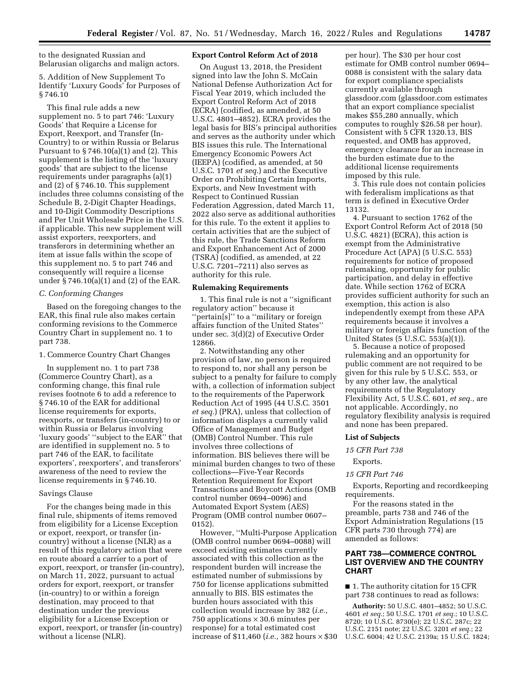to the designated Russian and Belarusian oligarchs and malign actors.

5. Addition of New Supplement To Identify 'Luxury Goods' for Purposes of § 746.10

This final rule adds a new supplement no. 5 to part 746: 'Luxury Goods' that Require a License for Export, Reexport, and Transfer (In-Country) to or within Russia or Belarus Pursuant to § 746.10(a)(1) and (2). This supplement is the listing of the 'luxury goods' that are subject to the license requirements under paragraphs (a)(1) and (2) of § 746.10. This supplement includes three columns consisting of the Schedule B, 2-Digit Chapter Headings, and 10-Digit Commodity Descriptions and Per Unit Wholesale Price in the U.S. if applicable. This new supplement will assist exporters, reexporters, and transferors in determining whether an item at issue falls within the scope of this supplement no. 5 to part 746 and consequently will require a license under § 746.10(a)(1) and (2) of the EAR.

#### *C. Conforming Changes*

Based on the foregoing changes to the EAR, this final rule also makes certain conforming revisions to the Commerce Country Chart in supplement no. 1 to part 738.

#### 1. Commerce Country Chart Changes

In supplement no. 1 to part 738 (Commerce Country Chart), as a conforming change, this final rule revises footnote 6 to add a reference to § 746.10 of the EAR for additional license requirements for exports, reexports, or transfers (in-country) to or within Russia or Belarus involving 'luxury goods' ''subject to the EAR'' that are identified in supplement no. 5 to part 746 of the EAR, to facilitate exporters', reexporters', and transferors' awareness of the need to review the license requirements in § 746.10.

#### Savings Clause

For the changes being made in this final rule, shipments of items removed from eligibility for a License Exception or export, reexport, or transfer (incountry) without a license (NLR) as a result of this regulatory action that were en route aboard a carrier to a port of export, reexport, or transfer (in-country), on March 11, 2022, pursuant to actual orders for export, reexport, or transfer (in-country) to or within a foreign destination, may proceed to that destination under the previous eligibility for a License Exception or export, reexport, or transfer (in-country) without a license (NLR).

#### **Export Control Reform Act of 2018**

On August 13, 2018, the President signed into law the John S. McCain National Defense Authorization Act for Fiscal Year 2019, which included the Export Control Reform Act of 2018 (ECRA) (codified, as amended, at 50 U.S.C. 4801–4852). ECRA provides the legal basis for BIS's principal authorities and serves as the authority under which BIS issues this rule. The International Emergency Economic Powers Act (IEEPA) (codified, as amended, at 50 U.S.C. 1701 *et seq.*) and the Executive Order on Prohibiting Certain Imports, Exports, and New Investment with Respect to Continued Russian Federation Aggression, dated March 11, 2022 also serve as additional authorities for this rule. To the extent it applies to certain activities that are the subject of this rule, the Trade Sanctions Reform and Export Enhancement Act of 2000 (TSRA) (codified, as amended, at 22 U.S.C. 7201–7211) also serves as authority for this rule.

#### **Rulemaking Requirements**

1. This final rule is not a ''significant regulatory action'' because it ''pertain[s]'' to a ''military or foreign affairs function of the United States'' under sec. 3(d)(2) of Executive Order 12866.

2. Notwithstanding any other provision of law, no person is required to respond to, nor shall any person be subject to a penalty for failure to comply with, a collection of information subject to the requirements of the Paperwork Reduction Act of 1995 (44 U.S.C. 3501 *et seq.*) (PRA), unless that collection of information displays a currently valid Office of Management and Budget (OMB) Control Number. This rule involves three collections of information. BIS believes there will be minimal burden changes to two of these collections—Five-Year Records Retention Requirement for Export Transactions and Boycott Actions (OMB control number 0694–0096) and Automated Export System (AES) Program (OMB control number 0607– 0152).

However, ''Multi-Purpose Application (OMB control number 0694–0088) will exceed existing estimates currently associated with this collection as the respondent burden will increase the estimated number of submissions by 750 for license applications submitted annually to BIS. BIS estimates the burden hours associated with this collection would increase by 382 (*i.e.,*  750 applications  $\times$  30.6 minutes per response) for a total estimated cost increase of \$11,460 (*i.e.,* 382 hours × \$30

per hour). The \$30 per hour cost estimate for OMB control number 0694– 0088 is consistent with the salary data for export compliance specialists currently available through glassdoor.com (glassdoor.com estimates that an export compliance specialist makes \$55,280 annually, which computes to roughly \$26.58 per hour). Consistent with 5 CFR 1320.13, BIS requested, and OMB has approved, emergency clearance for an increase in the burden estimate due to the additional license requirements imposed by this rule.

3. This rule does not contain policies with federalism implications as that term is defined in Executive Order 13132.

4. Pursuant to section 1762 of the Export Control Reform Act of 2018 (50 U.S.C. 4821) (ECRA), this action is exempt from the Administrative Procedure Act (APA) (5 U.S.C. 553) requirements for notice of proposed rulemaking, opportunity for public participation, and delay in effective date. While section 1762 of ECRA provides sufficient authority for such an exemption, this action is also independently exempt from these APA requirements because it involves a military or foreign affairs function of the United States (5 U.S.C. 553(a)(1)).

5. Because a notice of proposed rulemaking and an opportunity for public comment are not required to be given for this rule by 5 U.S.C. 553, or by any other law, the analytical requirements of the Regulatory Flexibility Act, 5 U.S.C. 601, *et seq.,* are not applicable. Accordingly, no regulatory flexibility analysis is required and none has been prepared.

#### **List of Subjects**

*15 CFR Part 738* 

# Exports.

#### *15 CFR Part 746*

Exports, Reporting and recordkeeping requirements.

For the reasons stated in the preamble, parts 738 and 746 of the Export Administration Regulations (15 CFR parts 730 through 774) are amended as follows:

# **PART 738—COMMERCE CONTROL LIST OVERVIEW AND THE COUNTRY CHART**

■ 1. The authority citation for 15 CFR part 738 continues to read as follows:

**Authority:** 50 U.S.C. 4801–4852; 50 U.S.C. 4601 *et seq.*; 50 U.S.C. 1701 *et seq.*; 10 U.S.C. 8720; 10 U.S.C. 8730(e); 22 U.S.C. 287c; 22 U.S.C. 2151 note; 22 U.S.C. 3201 *et seq.*; 22 U.S.C. 6004; 42 U.S.C. 2139a; 15 U.S.C. 1824;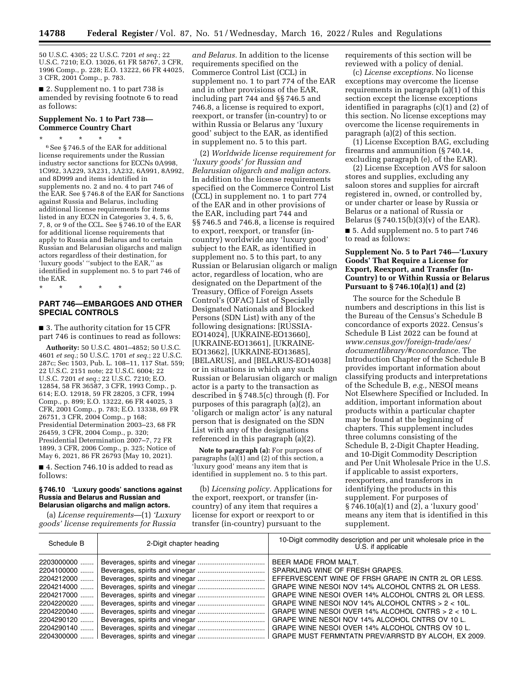50 U.S.C. 4305; 22 U.S.C. 7201 *et seq.*; 22 U.S.C. 7210; E.O. 13026, 61 FR 58767, 3 CFR, 1996 Comp., p. 228; E.O. 13222, 66 FR 44025, 3 CFR, 2001 Comp., p. 783.

■ 2. Supplement no. 1 to part 738 is amended by revising footnote 6 to read as follows:

# **Supplement No. 1 to Part 738— Commerce Country Chart**

\* \* \* \* \* \* \* 6 See § 746.5 of the EAR for additional license requirements under the Russian industry sector sanctions for ECCNs 0A998, 1C992, 3A229, 3A231, 3A232, 6A991, 8A992, and 8D999 and items identified in supplements no. 2 and no. 4 to part 746 of the EAR. See § 746.8 of the EAR for Sanctions against Russia and Belarus, including additional license requirements for items listed in any ECCN in Categories 3, 4, 5, 6, 7, 8, or 9 of the CCL. See § 746.10 of the EAR for additional license requirements that apply to Russia and Belarus and to certain Russian and Belarusian oligarchs and malign actors regardless of their destination, for 'luxury goods' ''subject to the EAR,'' as identified in supplement no. 5 to part 746 of the EAR.

\* \* \* \* \*

# **PART 746—EMBARGOES AND OTHER SPECIAL CONTROLS**

■ 3. The authority citation for 15 CFR part 746 is continues to read as follows:

**Authority:** 50 U.S.C. 4801–4852; 50 U.S.C. 4601 *et seq.*; 50 U.S.C. 1701 *et seq.*; 22 U.S.C. 287c; Sec 1503, Pub. L. 108–11, 117 Stat. 559; 22 U.S.C. 2151 note; 22 U.S.C. 6004; 22 U.S.C. 7201 *et seq.*; 22 U.S.C. 7210; E.O. 12854, 58 FR 36587, 3 CFR, 1993 Comp., p. 614; E.O. 12918, 59 FR 28205, 3 CFR, 1994 Comp., p. 899; E.O. 13222, 66 FR 44025, 3 CFR, 2001 Comp., p. 783; E.O. 13338, 69 FR 26751, 3 CFR, 2004 Comp., p 168; Presidential Determination 2003–23, 68 FR 26459, 3 CFR, 2004 Comp., p. 320; Presidential Determination 2007–7, 72 FR 1899, 3 CFR, 2006 Comp., p. 325; Notice of May 6, 2021, 86 FR 26793 (May 10, 2021).

■ 4. Section 746.10 is added to read as follows:

#### **§ 746.10 'Luxury goods' sanctions against Russia and Belarus and Russian and Belarusian oligarchs and malign actors.**

(a) *License requirements*—(1) *'Luxury goods' license requirements for Russia* 

*and Belarus.* In addition to the license requirements specified on the Commerce Control List (CCL) in supplement no. 1 to part 774 of the EAR and in other provisions of the EAR, including part 744 and §§ 746.5 and 746.8, a license is required to export, reexport, or transfer (in-country) to or within Russia or Belarus any 'luxury good' subject to the EAR, as identified in supplement no. 5 to this part.

(2) *Worldwide license requirement for 'luxury goods' for Russian and Belarusian oligarch and malign actors.*  In addition to the license requirements specified on the Commerce Control List (CCL) in supplement no. 1 to part 774 of the EAR and in other provisions of the EAR, including part 744 and §§ 746.5 and 746.8, a license is required to export, reexport, or transfer (incountry) worldwide any 'luxury good' subject to the EAR, as identified in supplement no. 5 to this part, to any Russian or Belarusian oligarch or malign actor, regardless of location, who are designated on the Department of the Treasury, Office of Foreign Assets Control's (OFAC) List of Specially Designated Nationals and Blocked Persons (SDN List) with any of the following designations: [RUSSIA-EO14024], [UKRAINE-EO13660], [UKRAINE-EO13661], [UKRAINE-EO13662], [UKRAINE-EO13685], [BELARUS], and [BELARUS-EO14038] or in situations in which any such Russian or Belarusian oligarch or malign actor is a party to the transaction as described in § 748.5(c) through (f). For purposes of this paragraph (a)(2), an 'oligarch or malign actor' is any natural person that is designated on the SDN List with any of the designations referenced in this paragraph (a)(2).

**Note to paragraph (a):** For purposes of paragraphs (a)(1) and (2) of this section, a 'luxury good' means any item that is identified in supplement no. 5 to this part.

(b) *Licensing policy.* Applications for the export, reexport, or transfer (incountry) of any item that requires a license for export or reexport to or transfer (in-country) pursuant to the

requirements of this section will be reviewed with a policy of denial.

(c) *License exceptions.* No license exceptions may overcome the license requirements in paragraph (a)(1) of this section except the license exceptions identified in paragraphs (c)(1) and (2) of this section. No license exceptions may overcome the license requirements in paragraph (a)(2) of this section.

(1) License Exception BAG, excluding firearms and ammunition (§ 740.14, excluding paragraph (e), of the EAR).

(2) License Exception AVS for saloon stores and supplies, excluding any saloon stores and supplies for aircraft registered in, owned, or controlled by, or under charter or lease by Russia or Belarus or a national of Russia or Belarus (§ 740.15(b)(3)(v) of the EAR).

■ 5. Add supplement no. 5 to part 746 to read as follows:

# **Supplement No. 5 to Part 746—'Luxury Goods' That Require a License for Export, Reexport, and Transfer (In-Country) to or Within Russia or Belarus Pursuant to § 746.10(a)(1) and (2)**

The source for the Schedule B numbers and descriptions in this list is the Bureau of the Census's Schedule B concordance of exports 2022. Census's Schedule B List 2022 can be found at *[www.census.gov/foreign-trade/aes/](http://www.census.gov/foreign-trade/aes/documentlibrary/#concordance) [documentlibrary/#concordance.](http://www.census.gov/foreign-trade/aes/documentlibrary/#concordance)* The Introduction Chapter of the Schedule B provides important information about classifying products and interpretations of the Schedule B, *e.g.,* NESOI means Not Elsewhere Specified or Included. In addition, important information about products within a particular chapter may be found at the beginning of chapters. This supplement includes three columns consisting of the Schedule B, 2-Digit Chapter Heading, and 10-Digit Commodity Description and Per Unit Wholesale Price in the U.S. if applicable to assist exporters, reexporters, and transferors in identifying the products in this supplement. For purposes of § 746.10(a)(1) and (2), a 'luxury good' means any item that is identified in this supplement.

| Schedule B   | 2-Digit chapter heading | 10-Digit commodity description and per unit wholesale price in the<br>U.S. if applicable |
|--------------|-------------------------|------------------------------------------------------------------------------------------|
| 2203000000   |                         | BEER MADE FROM MALT.                                                                     |
| 2204100000   |                         | SPARKLING WINE OF FRESH GRAPES.                                                          |
| 2204212000   |                         | EFFERVESCENT WINE OF FRSH GRAPE IN CNTR 2L OR LESS.                                      |
| $2204214000$ |                         | GRAPE WINE NESOI NOV 14% ALCOHOL CNTRS 2L OR LESS.                                       |
| 2204217000   |                         | GRAPE WINE NESOI OVER 14% ALCOHOL CNTRS 2L OR LESS.                                      |
| 2204220020   |                         | GRAPE WINE NESOI NOV 14% ALCOHOL CNTRS $> 2 < 10$ L.                                     |
| 2204220040.  |                         | GRAPE WINE NESOLOVER 14% ALCOHOL CNTRS $> 2 < 10$ L.                                     |
| 2204290120   |                         | GRAPE WINE NESOI NOV 14% ALCOHOL CNTRS OV 10 L.                                          |
| $2204290140$ |                         | GRAPE WINE NESOI OVER 14% ALCOHOL CNTRS OV 10 L.                                         |
| 2204300000   |                         | GRAPE MUST FERMNTATN PREV/ARRSTD BY ALCOH, EX 2009.                                      |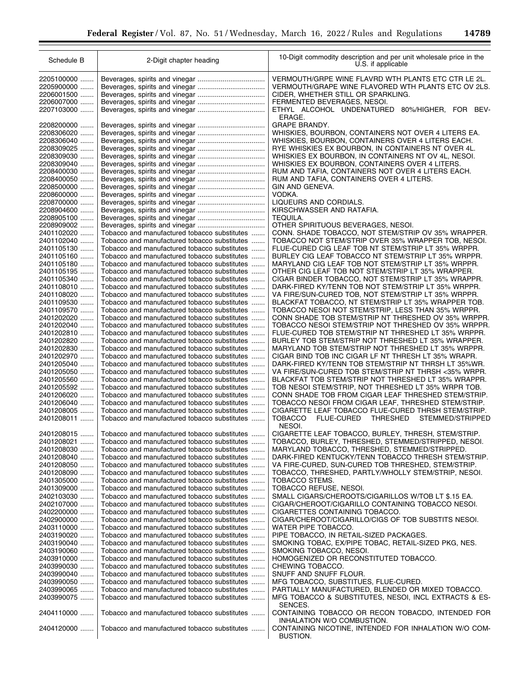| Schedule B               | 2-Digit chapter heading                                                                      | 10-Digit commodity description and per unit wholesale price in the<br>U.S. if applicable                    |
|--------------------------|----------------------------------------------------------------------------------------------|-------------------------------------------------------------------------------------------------------------|
| 2205100000               |                                                                                              | VERMOUTH/GRPE WINE FLAVRD WTH PLANTS ETC CTR LE 2L.                                                         |
| 2205900000               |                                                                                              | VERMOUTH/GRAPE WINE FLAVORED WTH PLANTS ETC OV 2LS.                                                         |
| 2206001500               |                                                                                              | CIDER, WHETHER STILL OR SPARKLING.                                                                          |
| 2206007000               |                                                                                              | FERMENTED BEVERAGES, NESOI.                                                                                 |
| 2207103000               |                                                                                              | ETHYL ALCOHOL UNDENATURED 80%/HIGHER, FOR BEV-<br>ERAGE.                                                    |
| 2208200000               |                                                                                              | <b>GRAPE BRANDY.</b>                                                                                        |
| 2208306020               |                                                                                              | WHISKIES, BOURBON, CONTAINERS NOT OVER 4 LITERS EA.                                                         |
| 2208306040               |                                                                                              | WHISKIES, BOURBON, CONTAINERS OVER 4 LITERS EACH.                                                           |
| 2208309025               |                                                                                              | RYE WHISKIES EX BOURBON, IN CONTAINERS NT OVER 4L.                                                          |
| 2208309030               |                                                                                              | WHISKIES EX BOURBON, IN CONTAINERS NT OV 4L, NESOI.                                                         |
| 2208309040<br>2208400030 |                                                                                              | WHISKIES EX BOURBON, CONTAINERS OVER 4 LITERS.<br>RUM AND TAFIA, CONTAINERS NOT OVER 4 LITERS EACH.         |
| 2208400050               |                                                                                              | RUM AND TAFIA, CONTAINERS OVER 4 LITERS.                                                                    |
| 2208500000               |                                                                                              | GIN AND GENEVA.                                                                                             |
| 2208600000               |                                                                                              | VODKA.                                                                                                      |
| 2208700000               |                                                                                              | LIQUEURS AND CORDIALS.                                                                                      |
| 2208904600               |                                                                                              | KIRSCHWASSER AND RATAFIA.                                                                                   |
| 2208905100               |                                                                                              | <b>TEQUILA.</b>                                                                                             |
| 2208909002               |                                                                                              | OTHER SPIRITUOUS BEVERAGES, NESOI.                                                                          |
| 2401102020               | Tobacco and manufactured tobacco substitutes                                                 | CONN. SHADE TOBACCO, NOT STEM/STRIP OV 35% WRAPPER.                                                         |
| 2401102040<br>2401105130 | Tobacco and manufactured tobacco substitutes<br>Tobacco and manufactured tobacco substitutes | TOBACCO NOT STEM/STRIP OVER 35% WRAPPER TOB, NESOI.<br>FLUE-CURED CIG LEAF TOB NT STEM/STRIP LT 35% WRPPR.  |
| 2401105160               | Tobacco and manufactured tobacco substitutes                                                 | BURLEY CIG LEAF TOBACCO NT STEM/STRIP LT 35% WRPPR.                                                         |
| 2401105180               | Tobacco and manufactured tobacco substitutes                                                 | MARYLAND CIG LEAF TOB NOT STEM/STRIP LT 35% WRPPR.                                                          |
| 2401105195               | Tobacco and manufactured tobacco substitutes                                                 | OTHER CIG LEAF TOB NOT STEM/STRIP LT 35% WRAPPER.                                                           |
| 2401105340               | Tobacco and manufactured tobacco substitutes                                                 | CIGAR BINDER TOBACCO. NOT STEM/STRIP LT 35% WRAPPR.                                                         |
| 2401108010               | Tobacco and manufactured tobacco substitutes                                                 | DARK-FIRED KY/TENN TOB NOT STEM/STRIP LT 35% WRPPR.                                                         |
| 2401108020               | Tobacco and manufactured tobacco substitutes                                                 | VA FIRE/SUN-CURED TOB, NOT STEM/STRIP LT 35% WRPPR.                                                         |
| 2401109530               | Tobacco and manufactured tobacco substitutes                                                 | BLACKFAT TOBACCO, NT STEM/STRIP LT 35% WRAPPER TOB.                                                         |
| 2401109570<br>2401202020 | Tobacco and manufactured tobacco substitutes<br>Tobacco and manufactured tobacco substitutes | TOBACCO NESOI NOT STEM/STRIP, LESS THAN 35% WRPPR.<br>CONN SHADE TOB STEM/STRIP NT THRESHED OV 35% WRPPR.   |
| 2401202040               | Tobacco and manufactured tobacco substitutes                                                 | TOBACCO NESOI STEM/STRIP NOT THRESHED OV 35% WRPPR.                                                         |
| 2401202810               | Tobacco and manufactured tobacco substitutes                                                 | FLUE-CURED TOB STEM/STRIP NT THRESHED LT 35% WRPPR.                                                         |
| 2401202820               | Tobacco and manufactured tobacco substitutes                                                 | BURLEY TOB STEM/STRIP NOT THRESHED LT 35% WRAPPER.                                                          |
| 2401202830               | Tobacco and manufactured tobacco substitutes                                                 | MARYLAND TOB STEM/STRIP NOT THRESHED LT 35% WRPPR.                                                          |
| 2401202970               | Tobacco and manufactured tobacco substitutes                                                 | CIGAR BIND TOB INC CIGAR LF NT THRESH LT 35% WRAPR.                                                         |
| 2401205040               | Tobacco and manufactured tobacco substitutes                                                 | DARK-FIRED KY/TENN TOB STEM/STRIP NT THRSH LT 35%WR.                                                        |
| 2401205050<br>2401205560 | Tobacco and manufactured tobacco substitutes<br>Tobacco and manufactured tobacco substitutes | VA FIRE/SUN-CURED TOB STEM/STRIP NT THRSH <35% WRPR.<br>BLACKFAT TOB STEM/STRIP NOT THRESHED LT 35% WRAPPR. |
| 2401205592               | Tobacco and manufactured tobacco substitutes                                                 | TOB NESOI STEM/STRIP, NOT THRESHED LT 35% WRPR TOB.                                                         |
| 2401206020               | Tobacco and manufactured tobacco substitutes                                                 | CONN SHADE TOB FROM CIGAR LEAF THRESHED STEM/STRIP.                                                         |
| 2401206040               | Tobacco and manufactured tobacco substitutes                                                 | TOBACCO NESOI FROM CIGAR LEAF, THRESHED STEM/STRIP.                                                         |
| 2401208005               | Tobacco and manufactured tobacco substitutes                                                 | CIGARETTE LEAF TOBACCO FLUE-CURED THRSH STEM/STRIP.                                                         |
| 2401208011               | Tobacco and manufactured tobacco substitutes                                                 | <b>TOBACCO</b><br><b>FLUE-CURED</b><br>THRESHED<br>STEMMED/STRIPPED<br>NESOI.                               |
| 2401208015  I            | Tobacco and manufactured tobacco substitutes                                                 | CIGARETTE LEAF TOBACCO, BURLEY, THRESH, STEM/STRIP.                                                         |
| 2401208021               | Tobacco and manufactured tobacco substitutes                                                 | TOBACCO, BURLEY, THRESHED, STEMMED/STRIPPED, NESOI.<br>MARYLAND TOBACCO, THRESHED, STEMMED/STRIPPED.        |
| 2401208030<br>2401208040 | Tobacco and manufactured tobacco substitutes<br>Tobacco and manufactured tobacco substitutes | DARK-FIRED KENTUCKY/TENN TOBACCO THRESH STEM/STRIP.                                                         |
| 2401208050               | Tobacco and manufactured tobacco substitutes                                                 | VA FIRE-CURED, SUN-CURED TOB THRESHED, STEM/STRIP.                                                          |
| 2401208090               | Tobacco and manufactured tobacco substitutes                                                 | TOBACCO, THRESHED, PARTLY/WHOLLY STEM/STRIP, NESOI.                                                         |
| 2401305000               | Tobacco and manufactured tobacco substitutes                                                 | TOBACCO STEMS.                                                                                              |
| 2401309000               | Tobacco and manufactured tobacco substitutes                                                 | TOBACCO REFUSE, NESOI.                                                                                      |
| 2402103030               | Tobacco and manufactured tobacco substitutes                                                 | SMALL CIGARS/CHEROOTS/CIGARILLOS W/TOB LT \$.15 EA.                                                         |
| 2402107000<br>2402200000 | Tobacco and manufactured tobacco substitutes<br>Tobacco and manufactured tobacco substitutes | CIGAR/CHEROOT/CIGARILLO CONTAINING TOBACCO NESOI.<br>CIGARETTES CONTAINING TOBACCO.                         |
| 2402900000               | Tobacco and manufactured tobacco substitutes                                                 | CIGAR/CHEROOT/CIGARILLO/CIGS OF TOB SUBSTITS NESOI.                                                         |
| 2403110000               | Tobacco and manufactured tobacco substitutes                                                 | WATER PIPE TOBACCO.                                                                                         |
| 2403190020               | Tobacco and manufactured tobacco substitutes                                                 | PIPE TOBACCO, IN RETAIL-SIZED PACKAGES.                                                                     |
| 2403190040               | Tobacco and manufactured tobacco substitutes                                                 | SMOKING TOBAC, EX/PIPE TOBAC, RETAIL-SIZED PKG, NES.                                                        |
| 2403190060               | Tobacco and manufactured tobacco substitutes                                                 | SMOKING TOBACCO, NESOI.                                                                                     |
| 2403910000               | Tobacco and manufactured tobacco substitutes                                                 | HOMOGENIZED OR RECONSTITUTED TOBACCO.                                                                       |
| 2403990030               | Tobacco and manufactured tobacco substitutes                                                 | CHEWING TOBACCO.                                                                                            |
| 2403990040               | Tobacco and manufactured tobacco substitutes                                                 | SNUFF AND SNUFF FLOUR.                                                                                      |
| 2403990050<br>2403990065 | Tobacco and manufactured tobacco substitutes<br>Tobacco and manufactured tobacco substitutes | MFG TOBACCO, SUBSTITUES, FLUE-CURED.<br>PARTIALLY MANUFACTURED, BLENDED OR MIXED TOBACCO.                   |
| 2403990075               | Tobacco and manufactured tobacco substitutes                                                 | MFG TOBACCO & SUBSTITUTES, NESOI, INCL EXTRACTS & ES-<br>SENCES.                                            |
| 2404110000               | Tobacco and manufactured tobacco substitutes                                                 | CONTAINING TOBACCO OR RECON TOBACDO, INTENDED FOR<br>INHALATION W/O COMBUSTION.                             |
| 2404120000               | Tobacco and manufactured tobacco substitutes                                                 | CONTAINING NICOTINE, INTENDED FOR INHALATION W/O COM-<br><b>BUSTION.</b>                                    |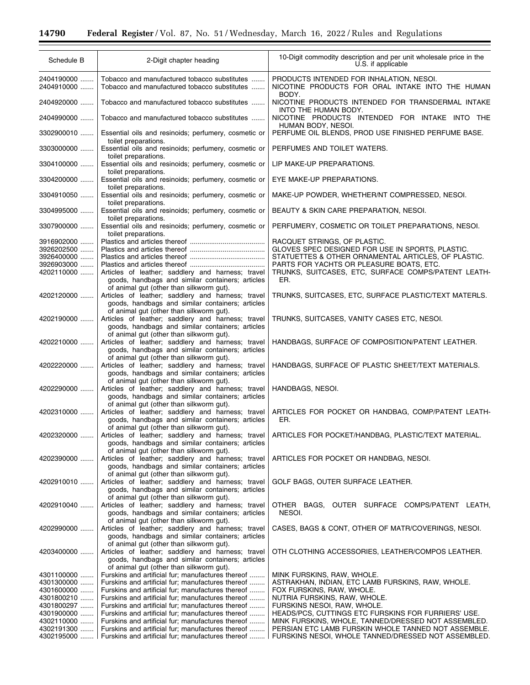$\equiv$ 

| Schedule B                                                                                     | 2-Digit chapter heading                                                                                                                                                                                                                                                                                                                                                         | 10-Digit commodity description and per unit wholesale price in the<br>U.S. if applicable                                                                                                                                                                                                  |
|------------------------------------------------------------------------------------------------|---------------------------------------------------------------------------------------------------------------------------------------------------------------------------------------------------------------------------------------------------------------------------------------------------------------------------------------------------------------------------------|-------------------------------------------------------------------------------------------------------------------------------------------------------------------------------------------------------------------------------------------------------------------------------------------|
| 2404190000<br>2404910000                                                                       | Tobacco and manufactured tobacco substitutes<br>Tobacco and manufactured tobacco substitutes                                                                                                                                                                                                                                                                                    | PRODUCTS INTENDED FOR INHALATION, NESOI.<br>NICOTINE PRODUCTS FOR ORAL INTAKE INTO THE HUMAN<br>BODY.                                                                                                                                                                                     |
| 2404920000                                                                                     | Tobacco and manufactured tobacco substitutes                                                                                                                                                                                                                                                                                                                                    | NICOTINE PRODUCTS INTENDED FOR TRANSDERMAL INTAKE<br>INTO THE HUMAN BODY.                                                                                                                                                                                                                 |
| 2404990000                                                                                     | Tobacco and manufactured tobacco substitutes                                                                                                                                                                                                                                                                                                                                    | NICOTINE PRODUCTS INTENDED FOR INTAKE INTO THE<br>HUMAN BODY, NESOI.                                                                                                                                                                                                                      |
| 3302900010                                                                                     | Essential oils and resinoids; perfumery, cosmetic or<br>toilet preparations.                                                                                                                                                                                                                                                                                                    | PERFUME OIL BLENDS, PROD USE FINISHED PERFUME BASE.                                                                                                                                                                                                                                       |
| 3303000000                                                                                     | Essential oils and resinoids; perfumery, cosmetic or<br>toilet preparations.                                                                                                                                                                                                                                                                                                    | PERFUMES AND TOILET WATERS.                                                                                                                                                                                                                                                               |
| 3304100000                                                                                     | Essential oils and resinoids; perfumery, cosmetic or<br>toilet preparations.                                                                                                                                                                                                                                                                                                    | LIP MAKE-UP PREPARATIONS.                                                                                                                                                                                                                                                                 |
| 3304200000                                                                                     | Essential oils and resinoids; perfumery, cosmetic or<br>toilet preparations.                                                                                                                                                                                                                                                                                                    | EYE MAKE-UP PREPARATIONS.                                                                                                                                                                                                                                                                 |
| 3304910050                                                                                     | Essential oils and resinoids; perfumery, cosmetic or<br>toilet preparations.                                                                                                                                                                                                                                                                                                    | MAKE-UP POWDER, WHETHER/NT COMPRESSED, NESOI.                                                                                                                                                                                                                                             |
| 3304995000                                                                                     | Essential oils and resinoids; perfumery, cosmetic or<br>toilet preparations.                                                                                                                                                                                                                                                                                                    | BEAUTY & SKIN CARE PREPARATION, NESOI.                                                                                                                                                                                                                                                    |
| 3307900000                                                                                     | Essential oils and resinoids; perfumery, cosmetic or<br>toilet preparations.                                                                                                                                                                                                                                                                                                    | PERFUMERY, COSMETIC OR TOILET PREPARATIONS, NESOI.                                                                                                                                                                                                                                        |
| 3916902000<br>3926202500<br>3926400000<br>3926903000                                           |                                                                                                                                                                                                                                                                                                                                                                                 | RACQUET STRINGS, OF PLASTIC.<br>GLOVES SPEC DESIGNED FOR USE IN SPORTS, PLASTIC.<br>STATUETTES & OTHER ORNAMENTAL ARTICLES, OF PLASTIC.<br>PARTS FOR YACHTS OR PLEASURE BOATS, ETC.                                                                                                       |
| 4202110000                                                                                     | Articles of leather; saddlery and harness; travel<br>goods, handbags and similar containers; articles<br>of animal gut (other than silkworm gut).                                                                                                                                                                                                                               | TRUNKS, SUITCASES, ETC, SURFACE COMPS/PATENT LEATH-<br>ER.                                                                                                                                                                                                                                |
| 4202120000                                                                                     | Articles of leather; saddlery and harness; travel<br>goods, handbags and similar containers; articles                                                                                                                                                                                                                                                                           | TRUNKS, SUITCASES, ETC, SURFACE PLASTIC/TEXT MATERLS.                                                                                                                                                                                                                                     |
| 4202190000                                                                                     | of animal gut (other than silkworm gut).<br>Articles of leather; saddlery and harness; travel<br>goods, handbags and similar containers; articles                                                                                                                                                                                                                               | TRUNKS, SUITCASES, VANITY CASES ETC, NESOI.                                                                                                                                                                                                                                               |
| 4202210000                                                                                     | of animal gut (other than silkworm gut).<br>Articles of leather; saddlery and harness; travel<br>goods, handbags and similar containers; articles<br>of animal gut (other than silkworm gut).                                                                                                                                                                                   | HANDBAGS, SURFACE OF COMPOSITION/PATENT LEATHER.                                                                                                                                                                                                                                          |
| 4202220000                                                                                     | Articles of leather; saddlery and harness; travel<br>goods, handbags and similar containers; articles<br>of animal gut (other than silkworm gut).                                                                                                                                                                                                                               | HANDBAGS, SURFACE OF PLASTIC SHEET/TEXT MATERIALS.                                                                                                                                                                                                                                        |
| 4202290000                                                                                     | Articles of leather; saddlery and harness; travel<br>goods, handbags and similar containers; articles<br>of animal gut (other than silkworm gut).                                                                                                                                                                                                                               | HANDBAGS, NESOI.                                                                                                                                                                                                                                                                          |
| 4202310000                                                                                     | Articles of leather; saddlery and harness; travel<br>goods, handbags and similar containers; articles<br>of animal gut (other than silkworm gut).                                                                                                                                                                                                                               | ARTICLES FOR POCKET OR HANDBAG, COMP/PATENT LEATH-<br>ER.                                                                                                                                                                                                                                 |
| 4202320000<br>                                                                                 | Articles of leather; saddlery and harness; travel<br>goods, handbags and similar containers; articles<br>of animal gut (other than silkworm gut).                                                                                                                                                                                                                               | ARTICLES FOR POCKET/HANDBAG, PLASTIC/TEXT MATERIAL.                                                                                                                                                                                                                                       |
| 4202390000                                                                                     | Articles of leather; saddlery and harness; travel<br>goods, handbags and similar containers; articles<br>of animal gut (other than silkworm gut).                                                                                                                                                                                                                               | ARTICLES FOR POCKET OR HANDBAG, NESOI.                                                                                                                                                                                                                                                    |
| 4202910010                                                                                     | Articles of leather; saddlery and harness; travel<br>goods, handbags and similar containers; articles<br>of animal gut (other than silkworm gut).                                                                                                                                                                                                                               | GOLF BAGS, OUTER SURFACE LEATHER.                                                                                                                                                                                                                                                         |
| 4202910040                                                                                     | Articles of leather; saddlery and harness; travel<br>goods, handbags and similar containers; articles<br>of animal gut (other than silkworm gut).                                                                                                                                                                                                                               | OTHER BAGS, OUTER SURFACE COMPS/PATENT LEATH,<br>NESOI.                                                                                                                                                                                                                                   |
| 4202990000                                                                                     | Articles of leather; saddlery and harness; travel<br>goods, handbags and similar containers; articles<br>of animal gut (other than silkworm gut).                                                                                                                                                                                                                               | CASES, BAGS & CONT, OTHER OF MATR/COVERINGS, NESOI.                                                                                                                                                                                                                                       |
| 4203400000                                                                                     | Articles of leather; saddlery and harness; travel<br>goods, handbags and similar containers; articles<br>of animal gut (other than silkworm gut).                                                                                                                                                                                                                               | OTH CLOTHING ACCESSORIES, LEATHER/COMPOS LEATHER.                                                                                                                                                                                                                                         |
| 4301100000<br>4301300000<br>4301600000<br>4301800210<br>4301800297<br>4301900000<br>4302110000 | Furskins and artificial fur, manufactures thereof<br>Furskins and artificial fur; manufactures thereof<br>Furskins and artificial fur; manufactures thereof<br>Furskins and artificial fur; manufactures thereof<br>Furskins and artificial fur; manufactures thereof<br>Furskins and artificial fur; manufactures thereof<br>Furskins and artificial fur; manufactures thereof | MINK FURSKINS, RAW, WHOLE.<br>ASTRAKHAN, INDIAN, ETC LAMB FURSKINS, RAW, WHOLE.<br>FOX FURSKINS, RAW, WHOLE.<br>NUTRIA FURSKINS, RAW, WHOLE.<br>FURSKINS NESOI, RAW, WHOLE.<br>HEADS/PCS, CUTTINGS ETC FURSKINS FOR FURRIERS' USE.<br>MINK FURSKINS, WHOLE, TANNED/DRESSED NOT ASSEMBLED. |
| 4302191300                                                                                     | Furskins and artificial fur; manufactures thereof<br>4302195000    Furskins and artificial fur; manufactures thereof                                                                                                                                                                                                                                                            | PERSIAN ETC LAMB FURSKIN WHOLE TANNED NOT ASSEMBLE.<br>FURSKINS NESOI, WHOLE TANNED/DRESSED NOT ASSEMBLED.                                                                                                                                                                                |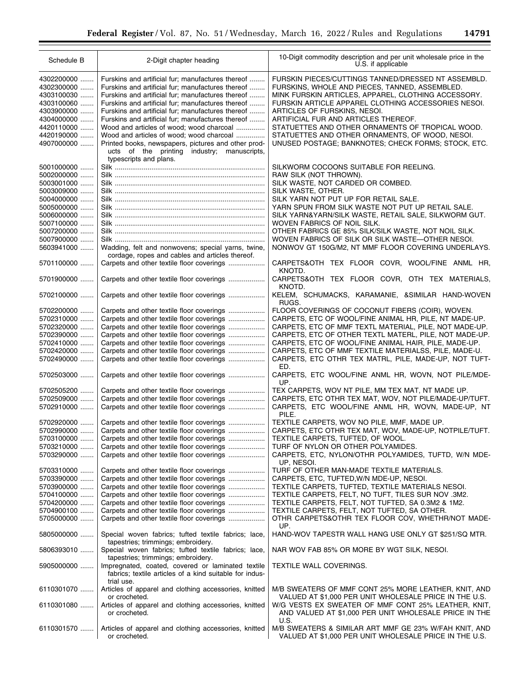| Schedule B                                                                                                                   | 2-Digit chapter heading                                                                                                                                                                                                                                                                                                                                                                                                                                                                                                                            | 10-Digit commodity description and per unit wholesale price in the<br>U.S. if applicable                                                                                                                                                                                                                                                                                                                                                                  |
|------------------------------------------------------------------------------------------------------------------------------|----------------------------------------------------------------------------------------------------------------------------------------------------------------------------------------------------------------------------------------------------------------------------------------------------------------------------------------------------------------------------------------------------------------------------------------------------------------------------------------------------------------------------------------------------|-----------------------------------------------------------------------------------------------------------------------------------------------------------------------------------------------------------------------------------------------------------------------------------------------------------------------------------------------------------------------------------------------------------------------------------------------------------|
| 4302200000<br>4302300000<br>4303100030<br>4303100060<br>4303900000<br>4304000000<br>4420110000<br>4420190000<br>4907000000   | Furskins and artificial fur; manufactures thereof<br>Furskins and artificial fur; manufactures thereof<br>Furskins and artificial fur; manufactures thereof<br>Furskins and artificial fur; manufactures thereof<br>Furskins and artificial fur; manufactures thereof<br>Furskins and artificial fur; manufactures thereof<br>Wood and articles of wood; wood charcoal<br>Wood and articles of wood; wood charcoal<br>Printed books, newspapers, pictures and other prod-<br>ucts of the printing industry; manuscripts,<br>typescripts and plans. | FURSKIN PIECES/CUTTINGS TANNED/DRESSED NT ASSEMBLD.<br>FURSKINS, WHOLE AND PIECES, TANNED, ASSEMBLED.<br>MINK FURSKIN ARTICLES, APPAREL, CLOTHING ACCESSORY.<br>FURSKIN ARTICLE APPAREL CLOTHING ACCESSORIES NESOI.<br>ARTICLES OF FURSKINS, NESOI.<br>ARTIFICIAL FUR AND ARTICLES THEREOF.<br>STATUETTES AND OTHER ORNAMENTS OF TROPICAL WOOD.<br>STATUETTES AND OTHER ORNAMENTS, OF WOOD, NESOI.<br>UNUSED POSTAGE; BANKNOTES; CHECK FORMS; STOCK, ETC. |
| 5001000000<br>5002000000<br>5003001000<br>5003009000<br>$5004000000$<br>5005000000<br>5006000000<br>5007100000<br>5007200000 |                                                                                                                                                                                                                                                                                                                                                                                                                                                                                                                                                    | SILKWORM COCOONS SUITABLE FOR REELING.<br>RAW SILK (NOT THROWN).<br>SILK WASTE, NOT CARDED OR COMBED.<br>SILK WASTE, OTHER.<br>SILK YARN NOT PUT UP FOR RETAIL SALE.<br>YARN SPUN FROM SILK WASTE NOT PUT UP RETAIL SALE.<br>SILK YARN&YARN/SILK WASTE, RETAIL SALE, SILKWORM GUT.<br>WOVEN FABRICS OF NOIL SILK.<br>OTHER FABRICS GE 85% SILK/SILK WASTE, NOT NOIL SILK.                                                                                 |
| 5007900000<br>5603941000                                                                                                     | Wadding, felt and nonwovens; special yarns, twine,<br>cordage, ropes and cables and articles thereof.                                                                                                                                                                                                                                                                                                                                                                                                                                              | WOVEN FABRICS OF SILK OR SILK WASTE-OTHER NESOI.<br>NONWOV GT 150G/M2, NT MMF FLOOR COVERING UNDERLAYS.                                                                                                                                                                                                                                                                                                                                                   |
| 5701100000<br>5701900000                                                                                                     | Carpets and other textile floor coverings                                                                                                                                                                                                                                                                                                                                                                                                                                                                                                          | CARPETS&OTH TEX FLOOR COVR, WOOL/FINE ANML HR,<br>KNOTD.<br>CARPETS&OTH TEX FLOOR COVR, OTH TEX MATERIALS,                                                                                                                                                                                                                                                                                                                                                |
| 5702100000                                                                                                                   |                                                                                                                                                                                                                                                                                                                                                                                                                                                                                                                                                    | KNOTD.<br>KELEM, SCHUMACKS, KARAMANIE, & SIMILAR HAND-WOVEN                                                                                                                                                                                                                                                                                                                                                                                               |
| 5702200000<br>5702310000<br>5702320000<br>5702390000<br>5702410000                                                           | Carpets and other textile floor coverings<br>Carpets and other textile floor coverings<br>Carpets and other textile floor coverings                                                                                                                                                                                                                                                                                                                                                                                                                | RUGS.<br>FLOOR COVERINGS OF COCONUT FIBERS (COIR), WOVEN.<br>CARPETS, ETC OF WOOL/FINE ANIMAL HR, PILE, NT MADE-UP.<br>CARPETS, ETC OF MMF TEXTL MATERIAL, PILE, NOT MADE-UP.<br>CARPETS, ETC OF OTHER TEXTL MATERL, PILE, NOT MADE-UP.<br>CARPETS, ETC OF WOOL/FINE ANIMAL HAIR, PILE, MADE-UP.                                                                                                                                                          |
| 5702420000<br>5702490000                                                                                                     | Carpets and other textile floor coverings<br>Carpets and other textile floor coverings                                                                                                                                                                                                                                                                                                                                                                                                                                                             | CARPETS, ETC OF MMF TEXTILE MATERIALSS, PILE, MADE-U.<br>CARPETS, ETC OTHR TEX MATRL, PILE, MADE-UP, NOT TUFT-<br>ED.                                                                                                                                                                                                                                                                                                                                     |
| 5702503000                                                                                                                   | Carpets and other textile floor coverings                                                                                                                                                                                                                                                                                                                                                                                                                                                                                                          | CARPETS, ETC WOOL/FINE ANML HR, WOVN, NOT PILE/MDE-<br>UP.                                                                                                                                                                                                                                                                                                                                                                                                |
| 5702505200<br>5702509000                                                                                                     | Carpets and other textile floor coverings                                                                                                                                                                                                                                                                                                                                                                                                                                                                                                          | TEX CARPETS, WOV NT PILE, MM TEX MAT, NT MADE UP.<br>CARPETS, ETC OTHR TEX MAT, WOV, NOT PILE/MADE-UP/TUFT.                                                                                                                                                                                                                                                                                                                                               |
| 5702910000                                                                                                                   | Carpets and other textile floor coverings                                                                                                                                                                                                                                                                                                                                                                                                                                                                                                          | CARPETS, ETC WOOL/FINE ANML HR, WOVN, MADE-UP, NT<br>PILE.                                                                                                                                                                                                                                                                                                                                                                                                |
| 5702920000<br>5702990000<br>5703100000                                                                                       | Carpets and other textile floor coverings<br>Carpets and other textile floor coverings                                                                                                                                                                                                                                                                                                                                                                                                                                                             | TEXTILE CARPETS, WOV NO PILE, MMF, MADE UP.<br>CARPETS, ETC OTHR TEX MAT, WOV, MADE-UP, NOTPILE/TUFT.<br>TEXTILE CARPETS, TUFTED, OF WOOL.                                                                                                                                                                                                                                                                                                                |
| 5703210000<br>5703290000                                                                                                     |                                                                                                                                                                                                                                                                                                                                                                                                                                                                                                                                                    | TURF OF NYLON OR OTHER POLYAMIDES.<br>CARPETS, ETC, NYLON/OTHR POLYAMIDES, TUFTD, W/N MDE-<br>UP, NESOI.                                                                                                                                                                                                                                                                                                                                                  |
| 5703310000<br>5703390000                                                                                                     | Carpets and other textile floor coverings<br>Carpets and other textile floor coverings                                                                                                                                                                                                                                                                                                                                                                                                                                                             | TURF OF OTHER MAN-MADE TEXTILE MATERIALS.<br>CARPETS, ETC, TUFTED, W/N MDE-UP, NESOI.                                                                                                                                                                                                                                                                                                                                                                     |
| 5703900000                                                                                                                   |                                                                                                                                                                                                                                                                                                                                                                                                                                                                                                                                                    | TEXTILE CARPETS, TUFTED, TEXTILE MATERIALS NESOI.                                                                                                                                                                                                                                                                                                                                                                                                         |
| 5704100000                                                                                                                   |                                                                                                                                                                                                                                                                                                                                                                                                                                                                                                                                                    | TEXTILE CARPETS, FELT, NO TUFT, TILES SUR NOV .3M2.                                                                                                                                                                                                                                                                                                                                                                                                       |
| 5704200000                                                                                                                   | Carpets and other textile floor coverings                                                                                                                                                                                                                                                                                                                                                                                                                                                                                                          | TEXTILE CARPETS, FELT, NOT TUFTED, SA 0.3M2 & 1M2.                                                                                                                                                                                                                                                                                                                                                                                                        |
| 5704900100<br>5705000000                                                                                                     | Carpets and other textile floor coverings                                                                                                                                                                                                                                                                                                                                                                                                                                                                                                          | TEXTILE CARPETS, FELT, NOT TUFTED, SA OTHER.<br>OTHR CARPETS&OTHR TEX FLOOR COV, WHETHR/NOT MADE-<br>UP.                                                                                                                                                                                                                                                                                                                                                  |
| 5805000000                                                                                                                   | Special woven fabrics; tufted textile fabrics; lace,<br>tapestries; trimmings; embroidery.                                                                                                                                                                                                                                                                                                                                                                                                                                                         | HAND-WOV TAPESTR WALL HANG USE ONLY GT \$251/SQ MTR.                                                                                                                                                                                                                                                                                                                                                                                                      |
| 5806393010                                                                                                                   | Special woven fabrics; tufted textile fabrics; lace,<br>tapestries; trimmings; embroidery.                                                                                                                                                                                                                                                                                                                                                                                                                                                         | NAR WOV FAB 85% OR MORE BY WGT SILK, NESOI.                                                                                                                                                                                                                                                                                                                                                                                                               |
| 5905000000                                                                                                                   | Impregnated, coated, covered or laminated textile<br>fabrics; textile articles of a kind suitable for indus-<br>trial use.                                                                                                                                                                                                                                                                                                                                                                                                                         | TEXTILE WALL COVERINGS.                                                                                                                                                                                                                                                                                                                                                                                                                                   |
| 6110301070                                                                                                                   | Articles of apparel and clothing accessories, knitted<br>or crocheted.                                                                                                                                                                                                                                                                                                                                                                                                                                                                             | M/B SWEATERS OF MMF CONT 25% MORE LEATHER, KNIT, AND<br>VALUED AT \$1,000 PER UNIT WHOLESALE PRICE IN THE U.S.                                                                                                                                                                                                                                                                                                                                            |
| 6110301080                                                                                                                   | Articles of apparel and clothing accessories, knitted<br>or crocheted.                                                                                                                                                                                                                                                                                                                                                                                                                                                                             | W/G VESTS EX SWEATER OF MMF CONT 25% LEATHER, KNIT,<br>AND VALUED AT \$1,000 PER UNIT WHOLESALE PRICE IN THE<br>U.S.                                                                                                                                                                                                                                                                                                                                      |
| 6110301570                                                                                                                   | Articles of apparel and clothing accessories, knitted<br>or crocheted.                                                                                                                                                                                                                                                                                                                                                                                                                                                                             | M/B SWEATERS & SIMILAR ART MMF GE 23% W/FAH KNIT, AND<br>VALUED AT \$1,000 PER UNIT WHOLESALE PRICE IN THE U.S.                                                                                                                                                                                                                                                                                                                                           |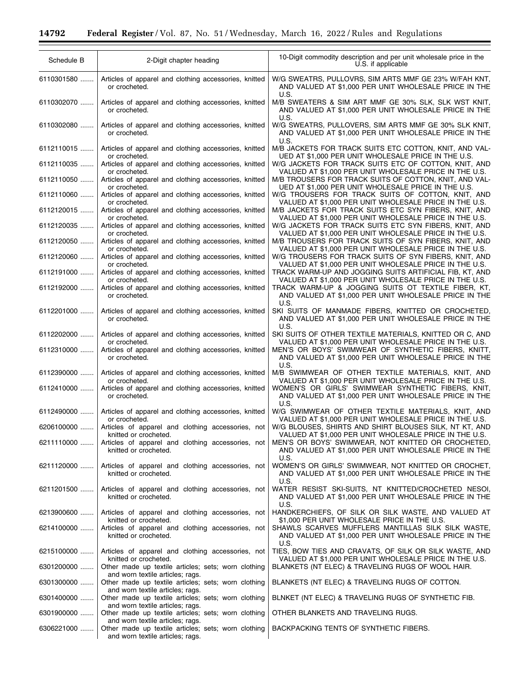$\equiv$ 

| Schedule B   | 2-Digit chapter heading                                                                   | 10-Digit commodity description and per unit wholesale price in the<br>U.S. if applicable                               |
|--------------|-------------------------------------------------------------------------------------------|------------------------------------------------------------------------------------------------------------------------|
| 6110301580   | Articles of apparel and clothing accessories, knitted<br>or crocheted.                    | W/G SWEATRS, PULLOVRS, SIM ARTS MMF GE 23% W/FAH KNT,<br>AND VALUED AT \$1,000 PER UNIT WHOLESALE PRICE IN THE<br>U.S. |
| 6110302070   | Articles of apparel and clothing accessories, knitted<br>or crocheted.                    | M/B SWEATERS & SIM ART MMF GE 30% SLK, SLK WST KNIT,<br>AND VALUED AT \$1,000 PER UNIT WHOLESALE PRICE IN THE<br>U.S.  |
| 6110302080   | Articles of apparel and clothing accessories, knitted<br>or crocheted.                    | W/G SWEATRS, PULLOVERS, SIM ARTS MMF GE 30% SLK KNIT,<br>AND VALUED AT \$1,000 PER UNIT WHOLESALE PRICE IN THE<br>U.S. |
| 6112110015   | Articles of apparel and clothing accessories, knitted<br>or crocheted.                    | M/B JACKETS FOR TRACK SUITS ETC COTTON, KNIT, AND VAL-<br>UED AT \$1,000 PER UNIT WHOLESALE PRICE IN THE U.S.          |
| 6112110035   | Articles of apparel and clothing accessories, knitted<br>or crocheted.                    | W/G JACKETS FOR TRACK SUITS ETC OF COTTON, KNIT, AND<br>VALUED AT \$1,000 PER UNIT WHOLESALE PRICE IN THE U.S.         |
| 6112110050   | Articles of apparel and clothing accessories, knitted<br>or crocheted.                    | M/B TROUSERS FOR TRACK SUITS OF COTTON, KNIT, AND VAL-<br>UED AT \$1,000 PER UNIT WHOLESALE PRICE IN THE U.S.          |
| 6112110060   | Articles of apparel and clothing accessories, knitted<br>or crocheted.                    | W/G TROUSERS FOR TRACK SUITS OF COTTON, KNIT, AND<br>VALUED AT \$1,000 PER UNIT WHOLESALE PRICE IN THE U.S.            |
| 6112120015   | Articles of apparel and clothing accessories, knitted<br>or crocheted.                    | M/B JACKETS FOR TRACK SUITS ETC SYN FIBERS, KNIT, AND<br>VALUED AT \$1,000 PER UNIT WHOLESALE PRICE IN THE U.S.        |
| 6112120035   | Articles of apparel and clothing accessories, knitted<br>or crocheted.                    | W/G JACKETS FOR TRACK SUITS ETC SYN FIBERS, KNIT, AND<br>VALUED AT \$1,000 PER UNIT WHOLESALE PRICE IN THE U.S.        |
| 6112120050   | Articles of apparel and clothing accessories, knitted<br>or crocheted.                    | M/B TROUSERS FOR TRACK SUITS OF SYN FIBERS, KNIT, AND<br>VALUED AT \$1,000 PER UNIT WHOLESALE PRICE IN THE U.S.        |
| 6112120060   | Articles of apparel and clothing accessories, knitted<br>or crocheted.                    | W/G TROUSERS FOR TRACK SUITS OF SYN FIBERS, KNIT, AND<br>VALUED AT \$1,000 PER UNIT WHOLESALE PRICE IN THE U.S.        |
| 6112191000   | Articles of apparel and clothing accessories, knitted<br>or crocheted.                    | TRACK WARM-UP AND JOGGING SUITS ARTIFICIAL FIB, KT, AND<br>VALUED AT \$1,000 PER UNIT WHOLESALE PRICE IN THE U.S.      |
| 6112192000   | Articles of apparel and clothing accessories, knitted<br>or crocheted.                    | TRACK WARM-UP & JOGGING SUITS OT TEXTILE FIBER, KT,<br>AND VALUED AT \$1,000 PER UNIT WHOLESALE PRICE IN THE<br>U.S.   |
| 6112201000   | Articles of apparel and clothing accessories, knitted<br>or crocheted.                    | SKI SUITS OF MANMADE FIBERS, KNITTED OR CROCHETED,<br>AND VALUED AT \$1,000 PER UNIT WHOLESALE PRICE IN THE<br>U.S.    |
| 6112202000   | Articles of apparel and clothing accessories, knitted<br>or crocheted.                    | SKI SUITS OF OTHER TEXTILE MATERIALS, KNITTED OR C, AND<br>VALUED AT \$1,000 PER UNIT WHOLESALE PRICE IN THE U.S.      |
| 6112310000   | Articles of apparel and clothing accessories, knitted<br>or crocheted.                    | MEN'S OR BOYS' SWIMWEAR OF SYNTHETIC FIBERS, KNITT,<br>AND VALUED AT \$1,000 PER UNIT WHOLESALE PRICE IN THE<br>U.S.   |
| 6112390000   | Articles of apparel and clothing accessories, knitted<br>or crocheted.                    | M/B SWIMWEAR OF OTHER TEXTILE MATERIALS, KNIT, AND<br>VALUED AT \$1,000 PER UNIT WHOLESALE PRICE IN THE U.S.           |
| 6112410000   | Articles of apparel and clothing accessories, knitted<br>or crocheted.                    | WOMEN'S OR GIRLS' SWIMWEAR SYNTHETIC FIBERS, KNIT,<br>AND VALUED AT \$1,000 PER UNIT WHOLESALE PRICE IN THE<br>U.S.    |
| $6112490000$ | Articles of apparel and clothing accessories, knitted<br>or crocheted.                    | W/G SWIMWEAR OF OTHER TEXTILE MATERIALS, KNIT, AND<br>VALUED AT \$1,000 PER UNIT WHOLESALE PRICE IN THE U.S.           |
| 6206100000   | Articles of apparel and clothing accessories, not<br>knitted or crocheted.                | W/G BLOUSES, SHIRTS AND SHIRT BLOUSES SILK, NT KT, AND<br>VALUED AT \$1,000 PER UNIT WHOLESALE PRICE IN THE U.S.       |
| $6211110000$ | Articles of apparel and clothing accessories, not<br>knitted or crocheted.                | MEN'S OR BOYS' SWIMWEAR, NOT KNITTED OR CROCHETED,<br>AND VALUED AT \$1,000 PER UNIT WHOLESALE PRICE IN THE<br>U.S.    |
|              | $6211120000$   Articles of apparel and clothing accessories, not<br>knitted or crocheted. | WOMEN'S OR GIRLS' SWIMWEAR, NOT KNITTED OR CROCHET,<br>AND VALUED AT \$1,000 PER UNIT WHOLESALE PRICE IN THE<br>U.S.   |
| 6211201500   | Articles of apparel and clothing accessories, not<br>knitted or crocheted.                | WATER RESIST SKI-SUITS, NT KNITTED/CROCHETED NESOI,<br>AND VALUED AT \$1,000 PER UNIT WHOLESALE PRICE IN THE<br>U.S.   |
| 6213900600   | Articles of apparel and clothing accessories, not<br>knitted or crocheted.                | HANDKERCHIEFS, OF SILK OR SILK WASTE, AND VALUED AT<br>\$1,000 PER UNIT WHOLESALE PRICE IN THE U.S.                    |
| 6214100000   | Articles of apparel and clothing accessories, not<br>knitted or crocheted.                | SHAWLS SCARVES MUFFLERS MANTILLAS SILK SILK WASTE,<br>AND VALUED AT \$1,000 PER UNIT WHOLESALE PRICE IN THE<br>U.S.    |
| 6215100000   | Articles of apparel and clothing accessories, not<br>knitted or crocheted.                | TIES, BOW TIES AND CRAVATS, OF SILK OR SILK WASTE, AND<br>VALUED AT \$1,000 PER UNIT WHOLESALE PRICE IN THE U.S.       |
| 6301200000   | Other made up textile articles; sets; worn clothing<br>and worn textile articles; rags.   | BLANKETS (NT ELEC) & TRAVELING RUGS OF WOOL HAIR.                                                                      |
| 6301300000   | Other made up textile articles; sets; worn clothing<br>and worn textile articles; rags.   | BLANKETS (NT ELEC) & TRAVELING RUGS OF COTTON.                                                                         |
| 6301400000   | Other made up textile articles; sets; worn clothing<br>and worn textile articles; rags.   | BLNKET (NT ELEC) & TRAVELING RUGS OF SYNTHETIC FIB.                                                                    |
| 6301900000   | Other made up textile articles; sets; worn clothing<br>and worn textile articles; rags.   | OTHER BLANKETS AND TRAVELING RUGS.                                                                                     |
| 6306221000   | Other made up textile articles; sets; worn clothing<br>and worn textile articles; rags.   | BACKPACKING TENTS OF SYNTHETIC FIBERS.                                                                                 |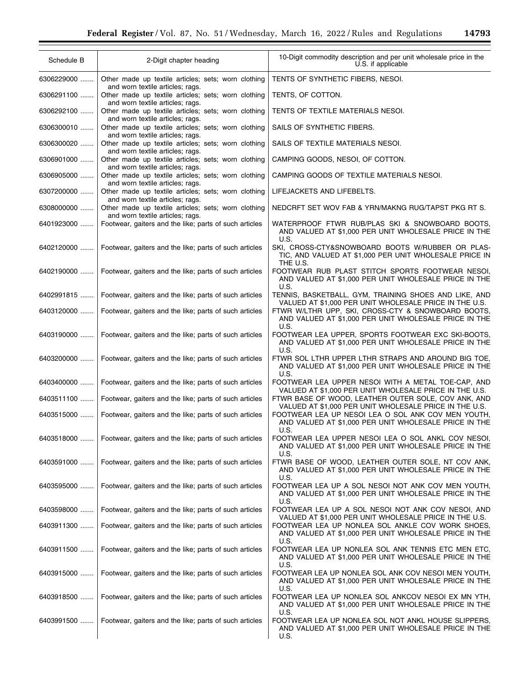| Schedule B    | 2-Digit chapter heading                                                                 | 10-Digit commodity description and per unit wholesale price in the<br>U.S. if applicable                               |
|---------------|-----------------------------------------------------------------------------------------|------------------------------------------------------------------------------------------------------------------------|
| 6306229000    | Other made up textile articles; sets; worn clothing<br>and worn textile articles; rags. | TENTS OF SYNTHETIC FIBERS, NESOI.                                                                                      |
| 6306291100    | Other made up textile articles; sets; worn clothing<br>and worn textile articles; rags. | TENTS, OF COTTON.                                                                                                      |
| 6306292100    | Other made up textile articles; sets; worn clothing<br>and worn textile articles; rags. | TENTS OF TEXTILE MATERIALS NESOI.                                                                                      |
| 6306300010    | Other made up textile articles; sets; worn clothing<br>and worn textile articles; rags. | SAILS OF SYNTHETIC FIBERS.                                                                                             |
| 6306300020    | Other made up textile articles; sets; worn clothing<br>and worn textile articles; rags. | SAILS OF TEXTILE MATERIALS NESOI.                                                                                      |
| 6306901000    | Other made up textile articles; sets; worn clothing<br>and worn textile articles; rags. | CAMPING GOODS, NESOI, OF COTTON.                                                                                       |
| 6306905000    | Other made up textile articles; sets; worn clothing<br>and worn textile articles; rags. | CAMPING GOODS OF TEXTILE MATERIALS NESOI.                                                                              |
| 6307200000    | Other made up textile articles; sets; worn clothing<br>and worn textile articles; rags. | LIFEJACKETS AND LIFEBELTS.                                                                                             |
| 6308000000    | Other made up textile articles; sets; worn clothing<br>and worn textile articles; rags. | NEDCRFT SET WOV FAB & YRN/MAKNG RUG/TAPST PKG RT S.                                                                    |
| 6401923000    | Footwear, gaiters and the like; parts of such articles                                  | WATERPROOF FTWR RUB/PLAS SKI & SNOWBOARD BOOTS,<br>AND VALUED AT \$1,000 PER UNIT WHOLESALE PRICE IN THE<br>U.S.       |
| $6402120000$  | Footwear, gaiters and the like; parts of such articles                                  | SKI, CROSS-CTY&SNOWBOARD BOOTS W/RUBBER OR PLAS-<br>TIC, AND VALUED AT \$1,000 PER UNIT WHOLESALE PRICE IN<br>THE U.S. |
| $6402190000$  | Footwear, gaiters and the like; parts of such articles                                  | FOOTWEAR RUB PLAST STITCH SPORTS FOOTWEAR NESOI,<br>AND VALUED AT \$1,000 PER UNIT WHOLESALE PRICE IN THE<br>U.S.      |
| $6402991815$  | Footwear, gaiters and the like; parts of such articles                                  | TENNIS, BASKETBALL, GYM, TRAINING SHOES AND LIKE, AND<br>VALUED AT \$1,000 PER UNIT WHOLESALE PRICE IN THE U.S.        |
| 6403120000    | Footwear, gaiters and the like; parts of such articles                                  | FTWR W/LTHR UPP, SKI, CROSS-CTY & SNOWBOARD BOOTS,<br>AND VALUED AT \$1,000 PER UNIT WHOLESALE PRICE IN THE<br>U.S.    |
| 6403190000    | Footwear, gaiters and the like; parts of such articles                                  | FOOTWEAR LEA UPPER, SPORTS FOOTWEAR EXC SKI-BOOTS,<br>AND VALUED AT \$1,000 PER UNIT WHOLESALE PRICE IN THE<br>U.S.    |
| 6403200000    | Footwear, gaiters and the like; parts of such articles                                  | FTWR SOL LTHR UPPER LTHR STRAPS AND AROUND BIG TOE,<br>AND VALUED AT \$1,000 PER UNIT WHOLESALE PRICE IN THE<br>U.S.   |
| $6403400000$  | Footwear, gaiters and the like; parts of such articles                                  | FOOTWEAR LEA UPPER NESOI WITH A METAL TOE-CAP, AND<br>VALUED AT \$1,000 PER UNIT WHOLESALE PRICE IN THE U.S.           |
| 6403511100  ∣ | Footwear, gaiters and the like; parts of such articles                                  | FTWR BASE OF WOOD, LEATHER OUTER SOLE, COV ANK, AND<br>VALUED AT \$1,000 PER UNIT WHOLESALE PRICE IN THE U.S.          |
| 6403515000    | Footwear, gaiters and the like; parts of such articles                                  | FOOTWEAR LEA UP NESOI LEA O SOL ANK COV MEN YOUTH,<br>AND VALUED AT \$1,000 PER UNIT WHOLESALE PRICE IN THE<br>U.S.    |
|               | 6403518000    Footwear, gaiters and the like; parts of such articles                    | FOOTWEAR LEA UPPER NESOI LEA O SOL ANKL COV NESOI,<br>AND VALUED AT \$1,000 PER UNIT WHOLESALE PRICE IN THE<br>U.S.    |
| 6403591000    | Footwear, gaiters and the like; parts of such articles                                  | FTWR BASE OF WOOD, LEATHER OUTER SOLE, NT COV ANK,<br>AND VALUED AT \$1,000 PER UNIT WHOLESALE PRICE IN THE<br>U.S.    |
| 6403595000    | Footwear, gaiters and the like; parts of such articles                                  | FOOTWEAR LEA UP A SOL NESOI NOT ANK COV MEN YOUTH,<br>AND VALUED AT \$1,000 PER UNIT WHOLESALE PRICE IN THE<br>U.S.    |
| 6403598000    | Footwear, gaiters and the like; parts of such articles                                  | FOOTWEAR LEA UP A SOL NESOI NOT ANK COV NESOI, AND<br>VALUED AT \$1,000 PER UNIT WHOLESALE PRICE IN THE U.S.           |
| 6403911300    | Footwear, gaiters and the like; parts of such articles                                  | FOOTWEAR LEA UP NONLEA SOL ANKLE COV WORK SHOES,<br>AND VALUED AT \$1,000 PER UNIT WHOLESALE PRICE IN THE<br>U.S.      |
| 6403911500    | Footwear, gaiters and the like; parts of such articles                                  | FOOTWEAR LEA UP NONLEA SOL ANK TENNIS ETC MEN ETC,<br>AND VALUED AT \$1,000 PER UNIT WHOLESALE PRICE IN THE<br>U.S.    |
| 6403915000    | Footwear, gaiters and the like; parts of such articles                                  | FOOTWEAR LEA UP NONLEA SOL ANK COV NESOI MEN YOUTH,<br>AND VALUED AT \$1,000 PER UNIT WHOLESALE PRICE IN THE<br>U.S.   |
| 6403918500    | Footwear, gaiters and the like; parts of such articles                                  | FOOTWEAR LEA UP NONLEA SOL ANKCOV NESOI EX MN YTH,<br>AND VALUED AT \$1,000 PER UNIT WHOLESALE PRICE IN THE<br>U.S.    |
| $6403991500$  | Footwear, gaiters and the like; parts of such articles                                  | FOOTWEAR LEA UP NONLEA SOL NOT ANKL HOUSE SLIPPERS,<br>AND VALUED AT \$1,000 PER UNIT WHOLESALE PRICE IN THE<br>U.S.   |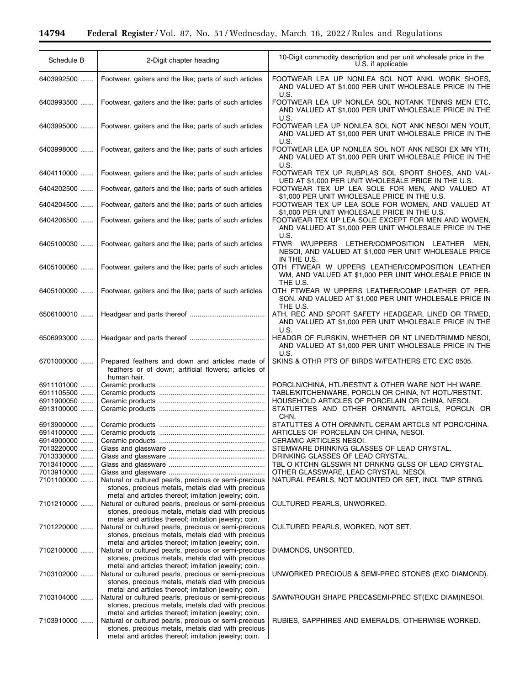Ξ

| Schedule B               | 2-Digit chapter heading                                                                                                                                                                                                     | 10-Digit commodity description and per unit wholesale price in the<br>U.S. if applicable                                   |
|--------------------------|-----------------------------------------------------------------------------------------------------------------------------------------------------------------------------------------------------------------------------|----------------------------------------------------------------------------------------------------------------------------|
| 6403992500               | Footwear, gaiters and the like; parts of such articles                                                                                                                                                                      | FOOTWEAR LEA UP NONLEA SOL NOT ANKL WORK SHOES.<br>AND VALUED AT \$1,000 PER UNIT WHOLESALE PRICE IN THE                   |
| 6403993500               | Footwear, gaiters and the like; parts of such articles                                                                                                                                                                      | U.S.<br>FOOTWEAR LEA UP NONLEA SOL NOTANK TENNIS MEN ETC,<br>AND VALUED AT \$1,000 PER UNIT WHOLESALE PRICE IN THE<br>U.S. |
| 6403995000               | Footwear, gaiters and the like; parts of such articles                                                                                                                                                                      | FOOTWEAR LEA UP NONLEA SOL NOT ANK NESOI MEN YOUT,<br>AND VALUED AT \$1,000 PER UNIT WHOLESALE PRICE IN THE<br>U.S.        |
| 6403998000               | Footwear, gaiters and the like; parts of such articles                                                                                                                                                                      | FOOTWEAR LEA UP NONLEA SOL NOT ANK NESOI EX MN YTH,<br>AND VALUED AT \$1,000 PER UNIT WHOLESALE PRICE IN THE<br>U.S.       |
| 6404110000               | Footwear, gaiters and the like; parts of such articles                                                                                                                                                                      | FOOTWEAR TEX UP RUBPLAS SOL SPORT SHOES, AND VAL-<br>UED AT \$1,000 PER UNIT WHOLESALE PRICE IN THE U.S.                   |
| 6404202500               | Footwear, gaiters and the like; parts of such articles                                                                                                                                                                      | FOOTWEAR TEX UP LEA SOLE FOR MEN, AND VALUED AT<br>\$1,000 PER UNIT WHOLESALE PRICE IN THE U.S.                            |
| 6404204500               | Footwear, gaiters and the like; parts of such articles                                                                                                                                                                      | FOOTWEAR TEX UP LEA SOLE FOR WOMEN, AND VALUED AT<br>\$1,000 PER UNIT WHOLESALE PRICE IN THE U.S.                          |
| 6404206500               | Footwear, gaiters and the like; parts of such articles                                                                                                                                                                      | FOOTWEAR TEX UP LEA SOLE EXCEPT FOR MEN AND WOMEN,<br>AND VALUED AT \$1,000 PER UNIT WHOLESALE PRICE IN THE<br>U.S.        |
| 6405100030               | Footwear, gaiters and the like; parts of such articles                                                                                                                                                                      | FTWR W/UPPERS LETHER/COMPOSITION LEATHER MEN,<br>NESOI, AND VALUED AT \$1,000 PER UNIT WHOLESALE PRICE<br>IN THE U.S.      |
| 6405100060               | Footwear, gaiters and the like; parts of such articles                                                                                                                                                                      | OTH FTWEAR W UPPERS LEATHER/COMPOSITION LEATHER<br>WM, AND VALUED AT \$1,000 PER UNIT WHOLESALE PRICE IN<br>THE U.S.       |
| 6405100090               | Footwear, gaiters and the like; parts of such articles                                                                                                                                                                      | OTH FTWEAR W UPPERS LEATHER/COMP LEATHER OT PER-<br>SON, AND VALUED AT \$1,000 PER UNIT WHOLESALE PRICE IN<br>THE U.S.     |
| 6506100010               |                                                                                                                                                                                                                             | ATH, REC AND SPORT SAFETY HEADGEAR, LINED OR TRMED,<br>AND VALUED AT \$1,000 PER UNIT WHOLESALE PRICE IN THE<br>U.S.       |
| 6506993000               |                                                                                                                                                                                                                             | HEADGR OF FURSKIN, WHETHER OR NT LINED/TRIMMD NESOI,<br>AND VALUED AT \$1,000 PER UNIT WHOLESALE PRICE IN THE<br>U.S.      |
| 6701000000               | Prepared feathers and down and articles made of<br>feathers or of down; artificial flowers; articles of<br>human hair.                                                                                                      | SKINS & OTHR PTS OF BIRDS W/FEATHERS ETC EXC 0505.                                                                         |
| 6911101000               |                                                                                                                                                                                                                             | PORCLN/CHINA, HTL/RESTNT & OTHER WARE NOT HH WARE.                                                                         |
| 6911105500               |                                                                                                                                                                                                                             | TABLE/KITCHENWARE, PORCLN OR CHINA, NT HOTL/RESTNT.<br>HOUSEHOLD ARTICLES OF PORCELAIN OR CHINA, NESOI.                    |
| 6911900050<br>6913100000 |                                                                                                                                                                                                                             | STATUETTES AND OTHER ORNMNTL ARTCLS, PORCLN OR<br>CHN.                                                                     |
| 6913900000               |                                                                                                                                                                                                                             | STATUTTES A OTH ORNMNTL CERAM ARTCLS NT PORC/CHINA.                                                                        |
| 6914100000               |                                                                                                                                                                                                                             | ARTICLES OF PORCELAIN OR CHINA, NESOI.                                                                                     |
| 6914900000<br>7013220000 |                                                                                                                                                                                                                             | CERAMIC ARTICLES NESOI.<br>STEMWARE DRINKING GLASSES OF LEAD CRYSTAL.                                                      |
| 7013330000               |                                                                                                                                                                                                                             | DRINKING GLASSES OF LEAD CRYSTAL.                                                                                          |
| 7013410000               |                                                                                                                                                                                                                             | TBL O KTCHN GLSSWR NT DRNKNG GLSS OF LEAD CRYSTAL.                                                                         |
| 7013910000               |                                                                                                                                                                                                                             | OTHER GLASSWARE, LEAD CRYSTAL, NESOI.                                                                                      |
| 7101100000               | Natural or cultured pearls, precious or semi-precious<br>stones, precious metals, metals clad with precious<br>metal and articles thereof; imitation jewelry; coin.                                                         | NATURAL PEARLS, NOT MOUNTED OR SET, INCL TMP STRNG.                                                                        |
| 7101210000               | Natural or cultured pearls, precious or semi-precious<br>stones, precious metals, metals clad with precious                                                                                                                 | CULTURED PEARLS, UNWORKED.                                                                                                 |
| 7101220000               | metal and articles thereof; imitation jewelry; coin.<br>Natural or cultured pearls, precious or semi-precious<br>stones, precious metals, metals clad with precious<br>metal and articles thereof; imitation jewelry; coin. | CULTURED PEARLS, WORKED, NOT SET.                                                                                          |
| 7102100000               | Natural or cultured pearls, precious or semi-precious<br>stones, precious metals, metals clad with precious                                                                                                                 | DIAMONDS, UNSORTED.                                                                                                        |
| 7103102000               | metal and articles thereof; imitation jewelry; coin.<br>Natural or cultured pearls, precious or semi-precious<br>stones, precious metals, metals clad with precious                                                         | UNWORKED PRECIOUS & SEMI-PREC STONES (EXC DIAMOND).                                                                        |
| 7103104000               | metal and articles thereof; imitation jewelry; coin.<br>Natural or cultured pearls, precious or semi-precious<br>stones, precious metals, metals clad with precious                                                         | SAWN/ROUGH SHAPE PREC&SEMI-PREC ST(EXC DIAM)NESOI.                                                                         |
| 7103910000               | metal and articles thereof; imitation jewelry; coin.<br>Natural or cultured pearls, precious or semi-precious<br>stones, precious metals, metals clad with precious<br>metal and articles thereof; imitation jewelry; coin. | RUBIES, SAPPHIRES AND EMERALDS, OTHERWISE WORKED.                                                                          |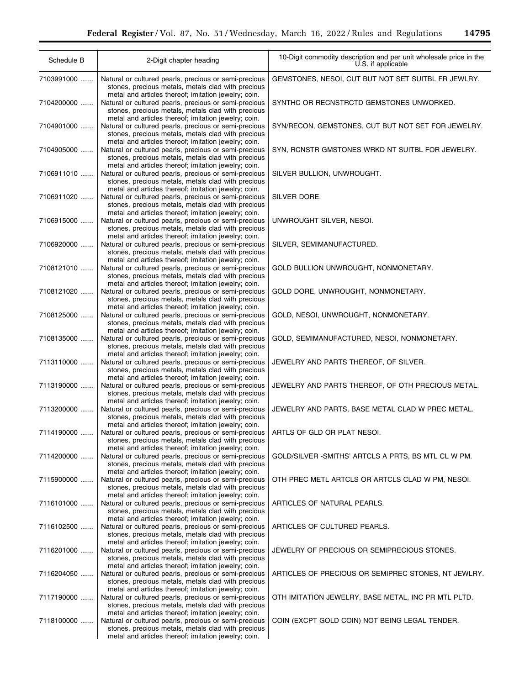i.

| Schedule B | 2-Digit chapter heading                                                                                                                                                                                                     | 10-Digit commodity description and per unit wholesale price in the<br>U.S. if applicable |
|------------|-----------------------------------------------------------------------------------------------------------------------------------------------------------------------------------------------------------------------------|------------------------------------------------------------------------------------------|
| 7103991000 | Natural or cultured pearls, precious or semi-precious<br>stones, precious metals, metals clad with precious<br>metal and articles thereof; imitation jewelry; coin.                                                         | GEMSTONES, NESOI, CUT BUT NOT SET SUITBL FR JEWLRY.                                      |
| 7104200000 | Natural or cultured pearls, precious or semi-precious<br>stones, precious metals, metals clad with precious                                                                                                                 | SYNTHC OR RECNSTRCTD GEMSTONES UNWORKED.                                                 |
| 7104901000 | metal and articles thereof; imitation jewelry; coin.<br>Natural or cultured pearls, precious or semi-precious<br>stones, precious metals, metals clad with precious                                                         | SYN/RECON, GEMSTONES, CUT BUT NOT SET FOR JEWELRY.                                       |
| 7104905000 | metal and articles thereof; imitation jewelry; coin.<br>Natural or cultured pearls, precious or semi-precious<br>stones, precious metals, metals clad with precious                                                         | SYN, RCNSTR GMSTONES WRKD NT SUITBL FOR JEWELRY.                                         |
| 7106911010 | metal and articles thereof; imitation jewelry; coin.<br>Natural or cultured pearls, precious or semi-precious<br>stones, precious metals, metals clad with precious                                                         | SILVER BULLION, UNWROUGHT.                                                               |
| 7106911020 | metal and articles thereof; imitation jewelry; coin.<br>Natural or cultured pearls, precious or semi-precious<br>stones, precious metals, metals clad with precious                                                         | SILVER DORE.                                                                             |
| 7106915000 | metal and articles thereof; imitation jewelry; coin.<br>Natural or cultured pearls, precious or semi-precious<br>stones, precious metals, metals clad with precious                                                         | UNWROUGHT SILVER, NESOI.                                                                 |
| 7106920000 | metal and articles thereof; imitation jewelry; coin.<br>Natural or cultured pearls, precious or semi-precious<br>stones, precious metals, metals clad with precious<br>metal and articles thereof; imitation jewelry; coin. | SILVER, SEMIMANUFACTURED.                                                                |
| 7108121010 | Natural or cultured pearls, precious or semi-precious<br>stones, precious metals, metals clad with precious<br>metal and articles thereof; imitation jewelry; coin.                                                         | GOLD BULLION UNWROUGHT, NONMONETARY.                                                     |
| 7108121020 | Natural or cultured pearls, precious or semi-precious<br>stones, precious metals, metals clad with precious<br>metal and articles thereof; imitation jewelry; coin.                                                         | GOLD DORE, UNWROUGHT, NONMONETARY.                                                       |
| 7108125000 | Natural or cultured pearls, precious or semi-precious<br>stones, precious metals, metals clad with precious<br>metal and articles thereof; imitation jewelry; coin.                                                         | GOLD, NESOI, UNWROUGHT, NONMONETARY.                                                     |
| 7108135000 | Natural or cultured pearls, precious or semi-precious<br>stones, precious metals, metals clad with precious<br>metal and articles thereof; imitation jewelry; coin.                                                         | GOLD, SEMIMANUFACTURED, NESOI, NONMONETARY.                                              |
| 7113110000 | Natural or cultured pearls, precious or semi-precious<br>stones, precious metals, metals clad with precious<br>metal and articles thereof; imitation jewelry; coin.                                                         | JEWELRY AND PARTS THEREOF, OF SILVER.                                                    |
| 7113190000 | Natural or cultured pearls, precious or semi-precious<br>stones, precious metals, metals clad with precious<br>metal and articles thereof; imitation jewelry; coin.                                                         | JEWELRY AND PARTS THEREOF, OF OTH PRECIOUS METAL.                                        |
| 7113200000 | Natural or cultured pearls, precious or semi-precious<br>stones, precious metals, metals clad with precious<br>metal and articles thereof; imitation jewelry; coin.                                                         | JEWELRY AND PARTS, BASE METAL CLAD W PREC METAL.                                         |
| 7114190000 | Natural or cultured pearls, precious or semi-precious<br>stones, precious metals, metals clad with precious<br>metal and articles thereof; imitation jewelry; coin.                                                         | ARTLS OF GLD OR PLAT NESOI.                                                              |
| 7114200000 | Natural or cultured pearls, precious or semi-precious<br>stones, precious metals, metals clad with precious<br>metal and articles thereof; imitation jewelry; coin.                                                         | GOLD/SILVER -SMITHS' ARTCLS A PRTS, BS MTL CL W PM.                                      |
| 7115900000 | Natural or cultured pearls, precious or semi-precious<br>stones, precious metals, metals clad with precious<br>metal and articles thereof; imitation jewelry; coin.                                                         | OTH PREC METL ARTCLS OR ARTCLS CLAD W PM, NESOI.                                         |
| 7116101000 | Natural or cultured pearls, precious or semi-precious<br>stones, precious metals, metals clad with precious<br>metal and articles thereof; imitation jewelry; coin.                                                         | ARTICLES OF NATURAL PEARLS.                                                              |
| 7116102500 | Natural or cultured pearls, precious or semi-precious<br>stones, precious metals, metals clad with precious<br>metal and articles thereof; imitation jewelry; coin.                                                         | ARTICLES OF CULTURED PEARLS.                                                             |
| 7116201000 | Natural or cultured pearls, precious or semi-precious<br>stones, precious metals, metals clad with precious<br>metal and articles thereof; imitation jewelry; coin.                                                         | JEWELRY OF PRECIOUS OR SEMIPRECIOUS STONES.                                              |
| 7116204050 | Natural or cultured pearls, precious or semi-precious<br>stones, precious metals, metals clad with precious<br>metal and articles thereof; imitation jewelry; coin.                                                         | ARTICLES OF PRECIOUS OR SEMIPREC STONES, NT JEWLRY.                                      |
| 7117190000 | Natural or cultured pearls, precious or semi-precious<br>stones, precious metals, metals clad with precious<br>metal and articles thereof; imitation jewelry; coin.                                                         | OTH IMITATION JEWELRY, BASE METAL, INC PR MTL PLTD.                                      |
| 7118100000 | Natural or cultured pearls, precious or semi-precious<br>stones, precious metals, metals clad with precious<br>metal and articles thereof; imitation jewelry; coin.                                                         | COIN (EXCPT GOLD COIN) NOT BEING LEGAL TENDER.                                           |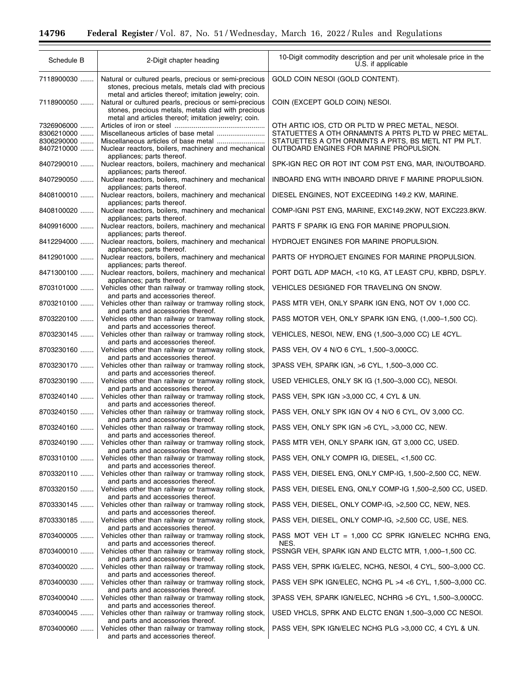$\equiv$ 

| Schedule B                             | 2-Digit chapter heading                                                                                                                                             | 10-Digit commodity description and per unit wholesale price in the<br>U.S. if applicable                                                                      |
|----------------------------------------|---------------------------------------------------------------------------------------------------------------------------------------------------------------------|---------------------------------------------------------------------------------------------------------------------------------------------------------------|
| 7118900030                             | Natural or cultured pearls, precious or semi-precious<br>stones, precious metals, metals clad with precious<br>metal and articles thereof; imitation jewelry; coin. | GOLD COIN NESOI (GOLD CONTENT).                                                                                                                               |
| 7118900050                             | Natural or cultured pearls, precious or semi-precious<br>stones, precious metals, metals clad with precious<br>metal and articles thereof; imitation jewelry; coin. | COIN (EXCEPT GOLD COIN) NESOI.                                                                                                                                |
| 7326906000<br>8306210000<br>8306290000 |                                                                                                                                                                     | OTH ARTIC IOS, CTD OR PLTD W PREC METAL, NESOI.<br>STATUETTES A OTH ORNAMNTS A PRTS PLTD W PREC METAL.<br>STATUETTES A OTH ORNMNTS A PRTS, BS METL NT PM PLT. |
| 8407210000                             | Nuclear reactors, boilers, machinery and mechanical<br>appliances; parts thereof.                                                                                   | OUTBOARD ENGINES FOR MARINE PROPULSION.                                                                                                                       |
| 8407290010                             | Nuclear reactors, boilers, machinery and mechanical<br>appliances; parts thereof.                                                                                   | SPK-IGN REC OR ROT INT COM PST ENG, MAR, IN/OUTBOARD.                                                                                                         |
| 8407290050                             | Nuclear reactors, boilers, machinery and mechanical<br>appliances; parts thereof.                                                                                   | INBOARD ENG WITH INBOARD DRIVE F MARINE PROPULSION.                                                                                                           |
| 8408100010                             | Nuclear reactors, boilers, machinery and mechanical<br>appliances; parts thereof.                                                                                   | DIESEL ENGINES, NOT EXCEEDING 149.2 KW, MARINE.                                                                                                               |
| 8408100020                             | Nuclear reactors, boilers, machinery and mechanical<br>appliances; parts thereof.                                                                                   | COMP-IGNI PST ENG, MARINE, EXC149.2KW, NOT EXC223.8KW.                                                                                                        |
| 8409916000                             | Nuclear reactors, boilers, machinery and mechanical<br>appliances; parts thereof.                                                                                   | PARTS F SPARK IG ENG FOR MARINE PROPULSION.                                                                                                                   |
| 8412294000                             | Nuclear reactors, boilers, machinery and mechanical<br>appliances; parts thereof.                                                                                   | HYDROJET ENGINES FOR MARINE PROPULSION.                                                                                                                       |
| 8412901000                             | Nuclear reactors, boilers, machinery and mechanical<br>appliances; parts thereof.                                                                                   | PARTS OF HYDROJET ENGINES FOR MARINE PROPULSION.                                                                                                              |
| 8471300100                             | Nuclear reactors, boilers, machinery and mechanical<br>appliances; parts thereof.                                                                                   | PORT DGTL ADP MACH, <10 KG, AT LEAST CPU, KBRD, DSPLY.                                                                                                        |
| 8703101000                             | Vehicles other than railway or tramway rolling stock,<br>and parts and accessories thereof.                                                                         | VEHICLES DESIGNED FOR TRAVELING ON SNOW.                                                                                                                      |
| 8703210100                             | Vehicles other than railway or tramway rolling stock,<br>and parts and accessories thereof.                                                                         | PASS MTR VEH, ONLY SPARK IGN ENG, NOT OV 1,000 CC.                                                                                                            |
| 8703220100                             | Vehicles other than railway or tramway rolling stock,<br>and parts and accessories thereof.                                                                         | PASS MOTOR VEH, ONLY SPARK IGN ENG, (1,000-1,500 CC).                                                                                                         |
| 8703230145                             | Vehicles other than railway or tramway rolling stock,                                                                                                               | VEHICLES, NESOI, NEW, ENG (1,500-3,000 CC) LE 4CYL.                                                                                                           |
| 8703230160                             | and parts and accessories thereof.<br>Vehicles other than railway or tramway rolling stock,                                                                         | PASS VEH, OV 4 N/O 6 CYL, 1,500-3,000CC.                                                                                                                      |
| 8703230170                             | and parts and accessories thereof.<br>Vehicles other than railway or tramway rolling stock,                                                                         | 3PASS VEH, SPARK IGN, >6 CYL, 1,500-3,000 CC.                                                                                                                 |
| 8703230190                             | and parts and accessories thereof.<br>Vehicles other than railway or tramway rolling stock,                                                                         | USED VEHICLES, ONLY SK IG (1,500-3,000 CC), NESOI.                                                                                                            |
| 8703240140                             | and parts and accessories thereof.<br>Vehicles other than railway or tramway rolling stock,                                                                         | PASS VEH, SPK IGN >3,000 CC, 4 CYL & UN.                                                                                                                      |
| 8703240150                             | and parts and accessories thereof.<br>Vehicles other than railway or tramway rolling stock,                                                                         | PASS VEH, ONLY SPK IGN OV 4 N/O 6 CYL, OV 3,000 CC.                                                                                                           |
| 8703240160                             | and parts and accessories thereof.<br>Vehicles other than railway or tramway rolling stock,                                                                         | PASS VEH, ONLY SPK IGN >6 CYL, >3,000 CC, NEW.                                                                                                                |
| 8703240190                             | and parts and accessories thereof.<br>Vehicles other than railway or tramway rolling stock,                                                                         | PASS MTR VEH, ONLY SPARK IGN, GT 3,000 CC, USED.                                                                                                              |
| 8703310100                             | and parts and accessories thereof.<br>Vehicles other than railway or tramway rolling stock,                                                                         | PASS VEH, ONLY COMPR IG, DIESEL, <1,500 CC.                                                                                                                   |
| 8703320110                             | and parts and accessories thereof.<br>Vehicles other than railway or tramway rolling stock,                                                                         | PASS VEH, DIESEL ENG, ONLY CMP-IG, 1,500-2,500 CC, NEW.                                                                                                       |
| 8703320150                             | and parts and accessories thereof.<br>Vehicles other than railway or tramway rolling stock,                                                                         | PASS VEH, DIESEL ENG, ONLY COMP-IG 1,500-2,500 CC, USED.                                                                                                      |
| 8703330145                             | and parts and accessories thereof.<br>Vehicles other than railway or tramway rolling stock,                                                                         | PASS VEH, DIESEL, ONLY COMP-IG, >2,500 CC, NEW, NES.                                                                                                          |
| 8703330185                             | and parts and accessories thereof.<br>Vehicles other than railway or tramway rolling stock,                                                                         | PASS VEH, DIESEL, ONLY COMP-IG, >2,500 CC, USE, NES.                                                                                                          |
| 8703400005                             | and parts and accessories thereof.<br>Vehicles other than railway or tramway rolling stock,                                                                         | PASS MOT VEH LT = 1,000 CC SPRK IGN/ELEC NCHRG ENG,                                                                                                           |
| 8703400010                             | and parts and accessories thereof.<br>Vehicles other than railway or tramway rolling stock,                                                                         | NES.<br>PSSNGR VEH, SPARK IGN AND ELCTC MTR, 1,000-1,500 CC.                                                                                                  |
| 8703400020                             | and parts and accessories thereof.<br>Vehicles other than railway or tramway rolling stock,                                                                         | PASS VEH, SPRK IG/ELEC, NCHG, NESOI, 4 CYL, 500–3,000 CC.                                                                                                     |
| 8703400030                             | and parts and accessories thereof.<br>Vehicles other than railway or tramway rolling stock,                                                                         | PASS VEH SPK IGN/ELEC, NCHG PL >4 <6 CYL, 1,500-3,000 CC.                                                                                                     |
| 8703400040                             | and parts and accessories thereof.<br>Vehicles other than railway or tramway rolling stock,                                                                         | 3PASS VEH, SPARK IGN/ELEC, NCHRG >6 CYL, 1,500–3,000CC.                                                                                                       |
| 8703400045                             | and parts and accessories thereof.<br>Vehicles other than railway or tramway rolling stock,                                                                         | USED VHCLS, SPRK AND ELCTC ENGN 1,500-3,000 CC NESOI.                                                                                                         |
| 8703400060                             | and parts and accessories thereof.<br>Vehicles other than railway or tramway rolling stock,<br>and parts and accessories thereof.                                   | PASS VEH, SPK IGN/ELEC NCHG PLG >3,000 CC, 4 CYL & UN.                                                                                                        |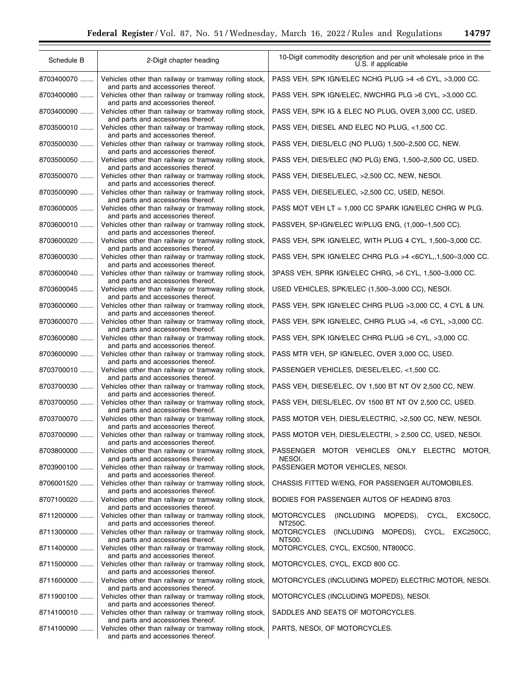| Schedule B | 2-Digit chapter heading                                                                                                           | 10-Digit commodity description and per unit wholesale price in the<br>U.S. if applicable |
|------------|-----------------------------------------------------------------------------------------------------------------------------------|------------------------------------------------------------------------------------------|
| 8703400070 | Vehicles other than railway or tramway rolling stock,                                                                             | PASS VEH, SPK IGN/ELEC NCHG PLUG >4 <6 CYL, >3,000 CC.                                   |
| 8703400080 | and parts and accessories thereof.<br>Vehicles other than railway or tramway rolling stock,<br>and parts and accessories thereof. | PASS VEH, SPK IGN/ELEC, NWCHRG PLG >6 CYL, >3,000 CC.                                    |
| 8703400090 | Vehicles other than railway or tramway rolling stock,<br>and parts and accessories thereof.                                       | PASS VEH, SPK IG & ELEC NO PLUG, OVER 3,000 CC, USED.                                    |
| 8703500010 | Vehicles other than railway or tramway rolling stock,<br>and parts and accessories thereof.                                       | PASS VEH, DIESEL AND ELEC NO PLUG, <1,500 CC.                                            |
| 8703500030 | Vehicles other than railway or tramway rolling stock,                                                                             | PASS VEH, DIESL/ELC (NO PLUG) 1,500-2,500 CC, NEW.                                       |
| 8703500050 | and parts and accessories thereof.<br>Vehicles other than railway or tramway rolling stock,                                       | PASS VEH, DIES/ELEC (NO PLG) ENG, 1,500-2,500 CC, USED.                                  |
| 8703500070 | and parts and accessories thereof.<br>Vehicles other than railway or tramway rolling stock,<br>and parts and accessories thereof. | PASS VEH, DIESEL/ELEC, >2,500 CC, NEW, NESOI.                                            |
| 8703500090 | Vehicles other than railway or tramway rolling stock,<br>and parts and accessories thereof.                                       | PASS VEH, DIESEL/ELEC, >2,500 CC, USED, NESOI.                                           |
| 8703600005 | Vehicles other than railway or tramway rolling stock,<br>and parts and accessories thereof.                                       | PASS MOT VEH LT = 1,000 CC SPARK IGN/ELEC CHRG W PLG.                                    |
| 8703600010 | Vehicles other than railway or tramway rolling stock,<br>and parts and accessories thereof.                                       | PASSVEH, SP-IGN/ELEC W/PLUG ENG, (1,000-1,500 CC).                                       |
| 8703600020 | Vehicles other than railway or tramway rolling stock,<br>and parts and accessories thereof.                                       | PASS VEH, SPK IGN/ELEC, WITH PLUG 4 CYL, 1,500-3,000 CC.                                 |
| 8703600030 | Vehicles other than railway or tramway rolling stock,<br>and parts and accessories thereof.                                       | PASS VEH, SPK IGN/ELEC CHRG PLG >4 <6CYL, 1,500-3,000 CC.                                |
| 8703600040 | Vehicles other than railway or tramway rolling stock,<br>and parts and accessories thereof.                                       | 3PASS VEH, SPRK IGN/ELEC CHRG, >6 CYL, 1,500-3,000 CC.                                   |
| 8703600045 | Vehicles other than railway or tramway rolling stock,<br>and parts and accessories thereof.                                       | USED VEHICLES, SPK/ELEC (1,500-3,000 CC), NESOI.                                         |
| 8703600060 | Vehicles other than railway or tramway rolling stock,<br>and parts and accessories thereof.                                       | PASS VEH, SPK IGN/ELEC CHRG PLUG >3,000 CC, 4 CYL & UN.                                  |
| 8703600070 | Vehicles other than railway or tramway rolling stock,<br>and parts and accessories thereof.                                       | PASS VEH, SPK IGN/ELEC, CHRG PLUG >4, <6 CYL, >3,000 CC.                                 |
| 8703600080 | Vehicles other than railway or tramway rolling stock,<br>and parts and accessories thereof.                                       | PASS VEH, SPK IGN/ELEC CHRG PLUG >6 CYL, >3,000 CC.                                      |
| 8703600090 | Vehicles other than railway or tramway rolling stock,<br>and parts and accessories thereof.                                       | PASS MTR VEH, SP IGN/ELEC, OVER 3,000 CC, USED.                                          |
| 8703700010 | Vehicles other than railway or tramway rolling stock,<br>and parts and accessories thereof.                                       | PASSENGER VEHICLES, DIESEL/ELEC, <1,500 CC.                                              |
| 8703700030 | Vehicles other than railway or tramway rolling stock,<br>and parts and accessories thereof.                                       | PASS VEH, DIESE/ELEC, OV 1,500 BT NT OV 2,500 CC, NEW.                                   |
| 8703700050 | Vehicles other than railway or tramway rolling stock,<br>and parts and accessories thereof.                                       | PASS VEH, DIESL/ELEC, OV 1500 BT NT OV 2,500 CC, USED.                                   |
| 8703700070 | Vehicles other than railway or tramway rolling stock,<br>and parts and accessories thereof.                                       | PASS MOTOR VEH, DIESL/ELECTRIC, >2,500 CC, NEW, NESOI.                                   |
| 8703700090 | Vehicles other than railway or tramway rolling stock,<br>and parts and accessories thereof.                                       | PASS MOTOR VEH, DIESL/ELECTRI, > 2,500 CC, USED, NESOI.                                  |
| 8703800000 | Vehicles other than railway or tramway rolling stock,<br>and parts and accessories thereof.                                       | PASSENGER MOTOR VEHICLES ONLY ELECTRC MOTOR,<br>NESOI.                                   |
| 8703900100 | Vehicles other than railway or tramway rolling stock,<br>and parts and accessories thereof.                                       | PASSENGER MOTOR VEHICLES, NESOI.                                                         |
| 8706001520 | Vehicles other than railway or tramway rolling stock,<br>and parts and accessories thereof.                                       | CHASSIS FITTED W/ENG, FOR PASSENGER AUTOMOBILES.                                         |
| 8707100020 | Vehicles other than railway or tramway rolling stock,<br>and parts and accessories thereof.                                       | BODIES FOR PASSENGER AUTOS OF HEADING 8703.                                              |
| 8711200000 | Vehicles other than railway or tramway rolling stock,<br>and parts and accessories thereof.                                       | EXC50CC,<br><b>MOTORCYCLES</b><br>(INCLUDING<br>MOPEDS), CYCL,<br>NT250C.                |
| 8711300000 | Vehicles other than railway or tramway rolling stock,<br>and parts and accessories thereof.                                       | <b>MOTORCYCLES</b><br>MOPEDS), CYCL,<br>EXC250CC,<br>(INCLUDING<br>NT500.                |
| 8711400000 | Vehicles other than railway or tramway rolling stock,<br>and parts and accessories thereof.                                       | MOTORCYCLES, CYCL, EXC500, NT800CC.                                                      |
| 8711500000 | Vehicles other than railway or tramway rolling stock,<br>and parts and accessories thereof.                                       | MOTORCYCLES, CYCL, EXCD 800 CC.                                                          |
| 8711600000 | Vehicles other than railway or tramway rolling stock,<br>and parts and accessories thereof.                                       | MOTORCYCLES (INCLUDING MOPED) ELECTRIC MOTOR, NESOI.                                     |
| 8711900100 | Vehicles other than railway or tramway rolling stock,<br>and parts and accessories thereof.                                       | MOTORCYCLES (INCLUDING MOPEDS), NESOI.                                                   |
| 8714100010 | Vehicles other than railway or tramway rolling stock,<br>and parts and accessories thereof.                                       | SADDLES AND SEATS OF MOTORCYCLES.                                                        |
| 8714100090 | Vehicles other than railway or tramway rolling stock,<br>and parts and accessories thereof.                                       | PARTS, NESOI, OF MOTORCYCLES.                                                            |